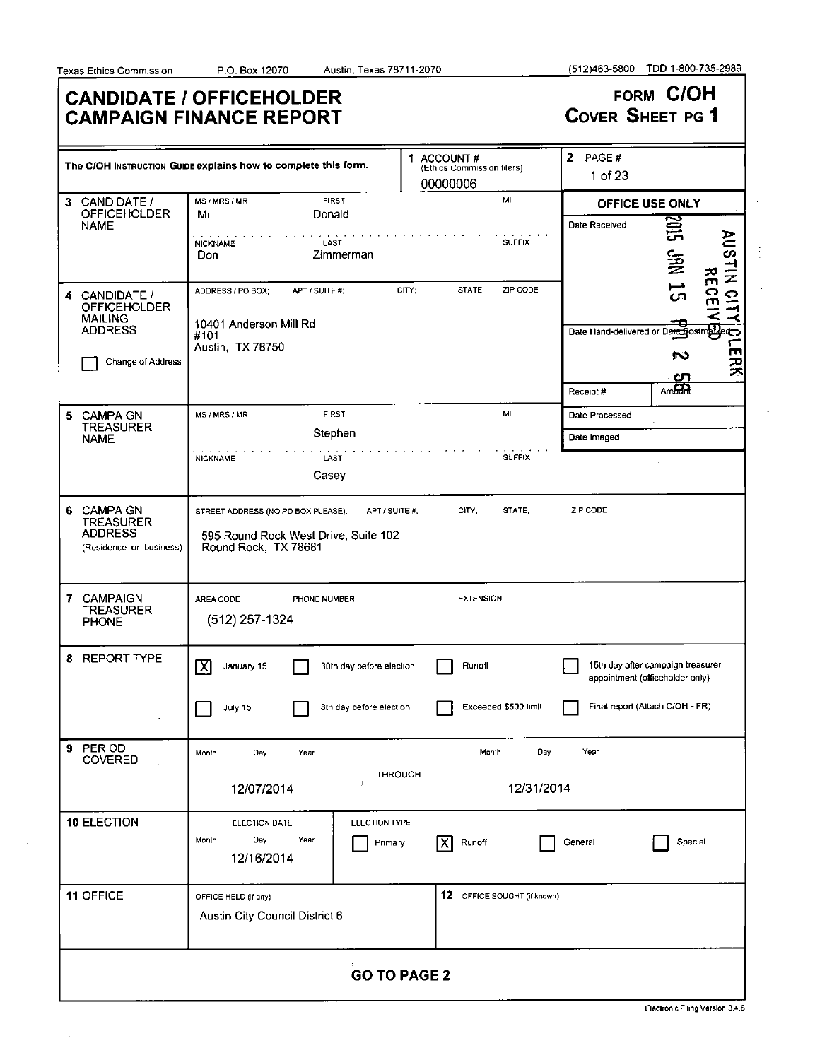÷.

 $\mathcal{L}$ 

 $\bar{z}$ 

 $\frac{1}{2}$ 

 $\mathcal{A}$ 

 $\bar{\lambda}$ 

 $\bar{z}$ 

|                                                                                        | <b>CANDIDATE / OFFICEHOLDER</b><br><b>CAMPAIGN FINANCE REPORT</b>                                  |                                                      | <b>COVER SHEET PG 1</b>          | FORM C/OH                                                                                |
|----------------------------------------------------------------------------------------|----------------------------------------------------------------------------------------------------|------------------------------------------------------|----------------------------------|------------------------------------------------------------------------------------------|
|                                                                                        | The C/OH INSTRUCTION GUIDE explains how to complete this form.                                     | 1 ACCOUNT#<br>(Ethics Commission filers)<br>00000006 | $\mathbf{2}$<br>PAGE#<br>1 of 23 |                                                                                          |
| 3 CANDIDATE /<br><b>OFFICEHOLDER</b>                                                   | <b>FIRST</b><br>MS/MRS/MR<br>Donald<br>Mr.                                                         | MI                                                   |                                  | OFFICE USE ONLY                                                                          |
| <b>NAME</b>                                                                            | LAST<br><b>NICKNAME</b><br>Zimmerman<br>Don                                                        | <b>SUFFIX</b>                                        | Date Received                    | SIRZ<br><b>AUSUN</b><br>j∰<br>꼮                                                          |
| 4 CANDIDATE /<br><b>OFFICEHOLDER</b><br><b>MAILING</b><br><b>ADDRESS</b>               | ADDRESS / PO BOX:<br>APT / SUITE #;<br>10401 Anderson Mill Rd<br>#101                              | CITY:<br>STATE;<br>ZIP CODE                          |                                  | <del>။</del><br>ဂ<br>$\bullet$<br>m<br>그<br>-<<br>Date Hand-delivered or Date Bostmarker |
| Change of Address                                                                      | Austin, TX 78750                                                                                   |                                                      | Receipt #                        | ш<br>S<br>ミス<br>ഗ<br>Am <sub>5</sub>                                                     |
| <b>CAMPAIGN</b>                                                                        | <b>FIRST</b><br>MS / MRS / MR                                                                      | M.                                                   | Date Processed                   |                                                                                          |
| 5.<br><b>TREASURER</b>                                                                 | Stephen                                                                                            |                                                      | Date Imaged                      |                                                                                          |
| <b>NAME</b>                                                                            | <b>NICKNAME</b><br>LAST<br>Casey                                                                   | <b>SUFFIX</b>                                        |                                  |                                                                                          |
| <b>CAMPAIGN</b><br>6.<br><b>TREASURER</b><br><b>ADDRESS</b><br>(Residence or business) | STREET ADDRESS (NO PO BOX PLEASE);<br>595 Round Rock West Drive, Suite 102<br>Round Rock, TX 78681 | APT / SUITE #;<br>CITY:<br>STATE;                    | ZIP CODE                         |                                                                                          |
| <b>CAMPAIGN</b><br>7<br><b>TREASURER</b><br><b>PHONE</b>                               | AREA CODE<br>PHONE NUMBER<br>(512) 257-1324                                                        | <b>EXTENSION</b>                                     |                                  |                                                                                          |
| <b>REPORT TYPE</b><br>8                                                                | $\overline{\mathsf{x}}$<br>30th day before election<br>January 15                                  | Runoff                                               |                                  | 15th day after campaign treasurer<br>appointment (officeholder only)                     |
|                                                                                        | 8th day before election<br>July 15                                                                 | Exceeded \$500 limit                                 |                                  | Final report (Attach C/OH - FR)                                                          |
| PERIOD<br>9<br>COVERED                                                                 | Year<br>Month<br>Day                                                                               | Day<br>Month                                         | Year                             |                                                                                          |
|                                                                                        | J.<br>12/07/2014                                                                                   | <b>THROUGH</b><br>12/31/2014                         |                                  |                                                                                          |
| 10 ELECTION                                                                            | ELECTION DATE<br>Day<br>Year<br>Month<br>12/16/2014                                                | ELECTION TYPE<br>ΙX<br>Runoff<br>Primary             | General                          | Special                                                                                  |
| 11 OFFICE                                                                              | OFFICE HELD (if any)<br>Austin City Council District 6                                             | 12 OFFICE SOUGHT (if known)                          |                                  |                                                                                          |
|                                                                                        |                                                                                                    | <b>GO TO PAGE 2</b>                                  |                                  |                                                                                          |

Electronic Filing Version 3.4.6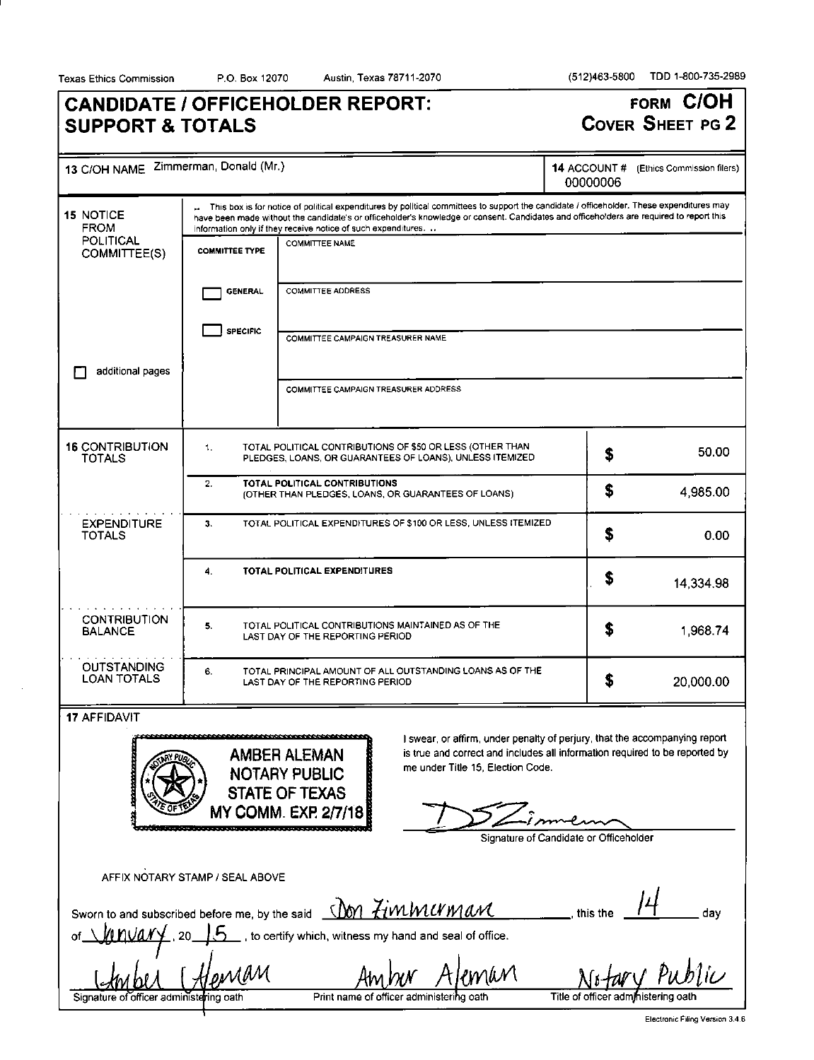Texas Ethics Commission P.O. Box 12070 Austin, Texas 78711-2070 (512)463-5800 TDD 1-800-735-2989

# **CANDIDATE / OFFICEHOLDER REPORT: SUPPORT & TOTALS**

**FORM C/OH COVER SHEET PG 2** 

| 13 C/OH NAME Zimmerman, Donald (Mr.)                                                                                                             |                                                                                                                                           |                                                                                                                                                                                                                                                                                                                                                      | 14 ACCOUNT#<br>00000006                | (Ethics Commission filers) |
|--------------------------------------------------------------------------------------------------------------------------------------------------|-------------------------------------------------------------------------------------------------------------------------------------------|------------------------------------------------------------------------------------------------------------------------------------------------------------------------------------------------------------------------------------------------------------------------------------------------------------------------------------------------------|----------------------------------------|----------------------------|
| <b>15 NOTICE</b><br><b>FROM</b>                                                                                                                  |                                                                                                                                           | This box is for notice of political expenditures by political committees to support the candidate / officeholder. These expenditures may<br>have been made without the candidate's or officeholder's knowledge or consent. Candidates and officeholders are required to report this<br>information only if they receive notice of such expenditures. |                                        |                            |
| <b>POLITICAL</b><br>COMMITTEE(S)                                                                                                                 | <b>COMMITTEE TYPE</b>                                                                                                                     | <b>COMMITTEE NAME</b>                                                                                                                                                                                                                                                                                                                                |                                        |                            |
|                                                                                                                                                  | <b>GENERAL</b>                                                                                                                            | <b>COMMITTEE ADDRESS</b>                                                                                                                                                                                                                                                                                                                             |                                        |                            |
|                                                                                                                                                  | <b>SPECIFIC</b>                                                                                                                           | COMMITTEE CAMPAIGN TREASURER NAME                                                                                                                                                                                                                                                                                                                    |                                        |                            |
| additional pages                                                                                                                                 |                                                                                                                                           | COMMITTEE CAMPAIGN TREASURER ADDRESS                                                                                                                                                                                                                                                                                                                 |                                        |                            |
|                                                                                                                                                  |                                                                                                                                           |                                                                                                                                                                                                                                                                                                                                                      |                                        |                            |
| <b>16 CONTRIBUTION</b><br><b>TOTALS</b>                                                                                                          | TOTAL POLITICAL CONTRIBUTIONS OF \$50 OR LESS (OTHER THAN<br>1.<br>50.00<br>S<br>PLEDGES, LOANS, OR GUARANTEES OF LOANS), UNLESS ITEMIZED |                                                                                                                                                                                                                                                                                                                                                      |                                        |                            |
|                                                                                                                                                  | TOTAL POLITICAL CONTRIBUTIONS<br>2.<br>S<br>4,985.00<br>(OTHER THAN PLEDGES, LOANS, OR GUARANTEES OF LOANS)                               |                                                                                                                                                                                                                                                                                                                                                      |                                        |                            |
| <b>EXPENDITURE</b><br>TOTALS                                                                                                                     | TOTAL POLITICAL EXPENDITURES OF \$100 OR LESS, UNLESS ITEMIZED<br>3.<br>Ŝ<br>0.00                                                         |                                                                                                                                                                                                                                                                                                                                                      |                                        |                            |
|                                                                                                                                                  | 4.                                                                                                                                        | TOTAL POLITICAL EXPENDITURES                                                                                                                                                                                                                                                                                                                         | S                                      | 14,334.98                  |
| <b>CONTRIBUTION</b><br><b>BALANCE</b>                                                                                                            | 5.                                                                                                                                        | TOTAL POLITICAL CONTRIBUTIONS MAINTAINED AS OF THE<br>LAST DAY OF THE REPORTING PERIOD                                                                                                                                                                                                                                                               | S                                      | 1,968.74                   |
| <b>OUTSTANDING</b><br><b>LOAN TOTALS</b>                                                                                                         | 6.                                                                                                                                        | TOTAL PRINCIPAL AMOUNT OF ALL OUTSTANDING LOANS AS OF THE<br>LAST DAY OF THE REPORTING PERIOD                                                                                                                                                                                                                                                        | \$                                     | 20,000.00                  |
| 17 AFFIDAVIT<br><b>FRANCISCO</b>                                                                                                                 |                                                                                                                                           | I swear, or affirm, under penalty of perjury, that the accompanying report<br>is true and correct and includes all information required to be reported by<br><b>AMBER ALEMAN</b><br>me under Title 15, Election Code.<br><b>NOTARY PUBLIC</b><br><b>STATE OF TEXAS</b><br><b>MY COMM. EXP 2/7/18</b>                                                 | Signature of Candidate or Officeholder |                            |
|                                                                                                                                                  | AFFIX NOTARY STAMP / SEAL ABOVE                                                                                                           |                                                                                                                                                                                                                                                                                                                                                      | this the                               |                            |
| Sworn to and subscribed before me, by the said <u>(IOM Zim MUMAM</u><br>day<br>__ , to certify which, witness my hand and seal of office.<br>20. |                                                                                                                                           |                                                                                                                                                                                                                                                                                                                                                      |                                        |                            |
| Signature of officer administering oath                                                                                                          | MAM                                                                                                                                       | eman<br>Print name of officer administering oath                                                                                                                                                                                                                                                                                                     | Title of officer administering oath    | ary Public                 |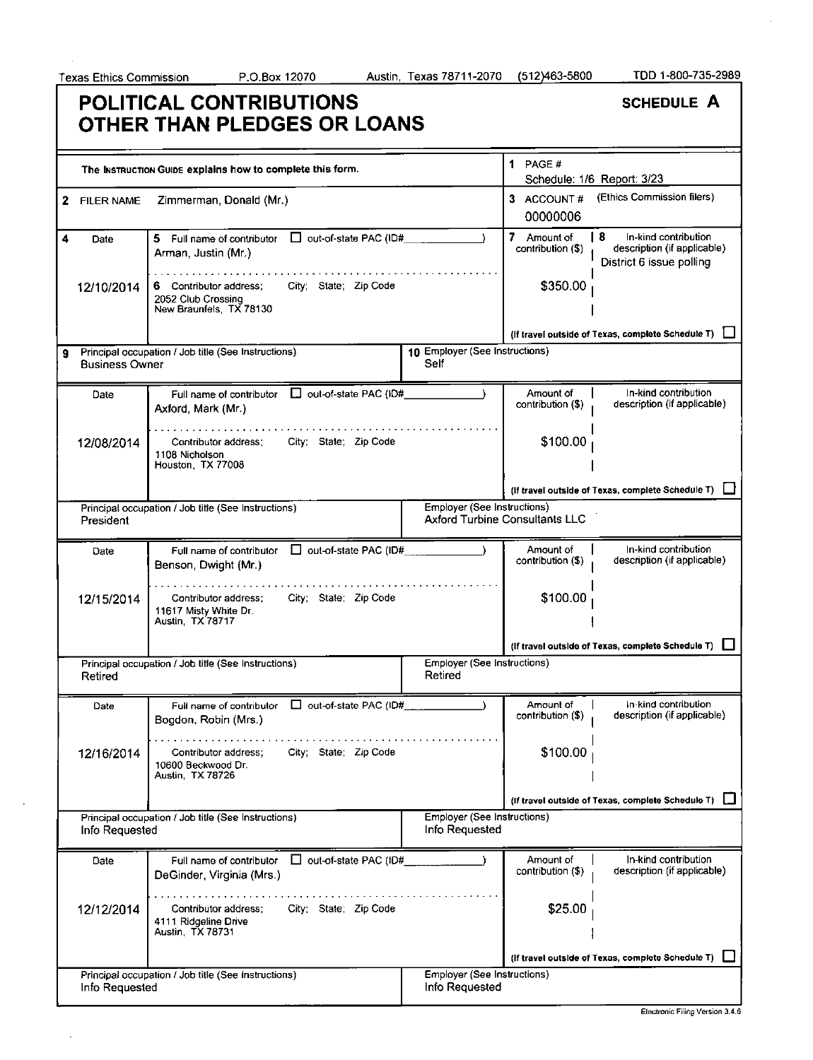## **POLITICAL CONTRIBUTIONS OTHER THAN PLEDGES OR LOANS**

|    |                       | The INSTRUCTION GUIDE explains how to complete this form.                                        |                                               | 1 PAGE $#$                            | Schedule: 1/6 Report: 3/23                                                             |
|----|-----------------------|--------------------------------------------------------------------------------------------------|-----------------------------------------------|---------------------------------------|----------------------------------------------------------------------------------------|
| 2  | <b>FILER NAME</b>     | Zimmerman, Donald (Mr.)                                                                          |                                               | 3 ACCOUNT#<br>00000006                | (Ethics Commission filers)                                                             |
|    | Date                  | 5 Full name of contributor $\Box$ out-of-state PAC (ID#<br>Arman, Justin (Mr.)                   |                                               | 7 Amount of<br>contribution (\$)      | I 8<br>In-kind contribution<br>description (if applicable)<br>District 6 issue polling |
|    | 12/10/2014            | City; State; Zip Code<br>6 Contributor address;<br>2052 Club Crossing<br>New Braunfels, TX 78130 |                                               | \$350.00                              |                                                                                        |
|    |                       |                                                                                                  |                                               |                                       | (If travel outside of Texas, complete Schedule T)                                      |
| 9. | <b>Business Owner</b> | Principal occupation / Job title (See Instructions)                                              | 10 Employer (See Instructions)<br>Self        |                                       |                                                                                        |
|    | Date                  | Full name of contributor $\Box$ out-of-state PAC (ID#<br>Axford, Mark (Mr.)                      |                                               | Amount of<br>contribution (\$)        | In-kind contribution<br>description (if applicable)                                    |
|    | 12/08/2014            | Contributor address:<br>City: State: Zip Code<br>1108 Nicholson<br>Houston, TX 77008             |                                               | \$100.00                              |                                                                                        |
|    |                       |                                                                                                  |                                               |                                       | (If travel outside of Texas, complete Schedule T) [                                    |
|    | President             | Principal occupation / Job title (See Instructions)                                              | <b>Employer (See Instructions)</b>            | <b>Axford Turbine Consultants LLC</b> |                                                                                        |
|    | Date                  | Full name of contributor $\Box$ out-of-state PAC (ID#<br>Benson, Dwight (Mr.)                    |                                               | Amount of<br>contribution (\$)        | In-kind contribution<br>description (if applicable)                                    |
|    | 12/15/2014            | City; State; Zip Code<br>Contributor address;<br>11617 Misty White Dr.<br>Austin, TX 78717       |                                               | \$100.00                              |                                                                                        |
|    |                       |                                                                                                  |                                               |                                       | (If travel outside of Texas, complete Schedule T)                                      |
|    | Retired               | Principal occupation / Job title (See Instructions)                                              | Employer (See Instructions)<br>Retired        |                                       |                                                                                        |
|    | Date                  | $\Box$ out-of-state PAC (ID#<br>Full name of contributor<br>Bogdon, Robin (Mrs.)                 |                                               | Amount of<br>contribution (\$)        | In-kind contribution<br>description (if applicable)                                    |
|    | 12/16/2014            | City; State; Zip Code<br>Contributor address;<br>10600 Beckwood Dr.<br>Austin, TX 78726          |                                               | \$100.00                              |                                                                                        |
|    |                       |                                                                                                  |                                               |                                       | (If travel outside of Texas, complete Schedule T)                                      |
|    | Info Requested        | Principal occupation / Job title (See Instructions)                                              | Employer (See Instructions)<br>Info Requested |                                       |                                                                                        |
|    | Date                  | □ out-of-state PAC (ID#<br>Full name of contributor<br>DeGinder, Virginia (Mrs.)                 |                                               | Amount of<br>contribution (\$)        | In-kind contribution<br>description (if applicable)                                    |
|    | 12/12/2014            | City; State; Zip Code<br>Contributor address;<br>4111 Ridgeline Drive<br>Austin, TX 78731        |                                               | \$25.00                               |                                                                                        |
|    |                       |                                                                                                  |                                               |                                       | (If travel outside of Texas, complete Schedule T)                                      |
|    | Info Requested        | Principal occupation / Job title (See Instructions)                                              | Employer (See Instructions)<br>Info Requested |                                       |                                                                                        |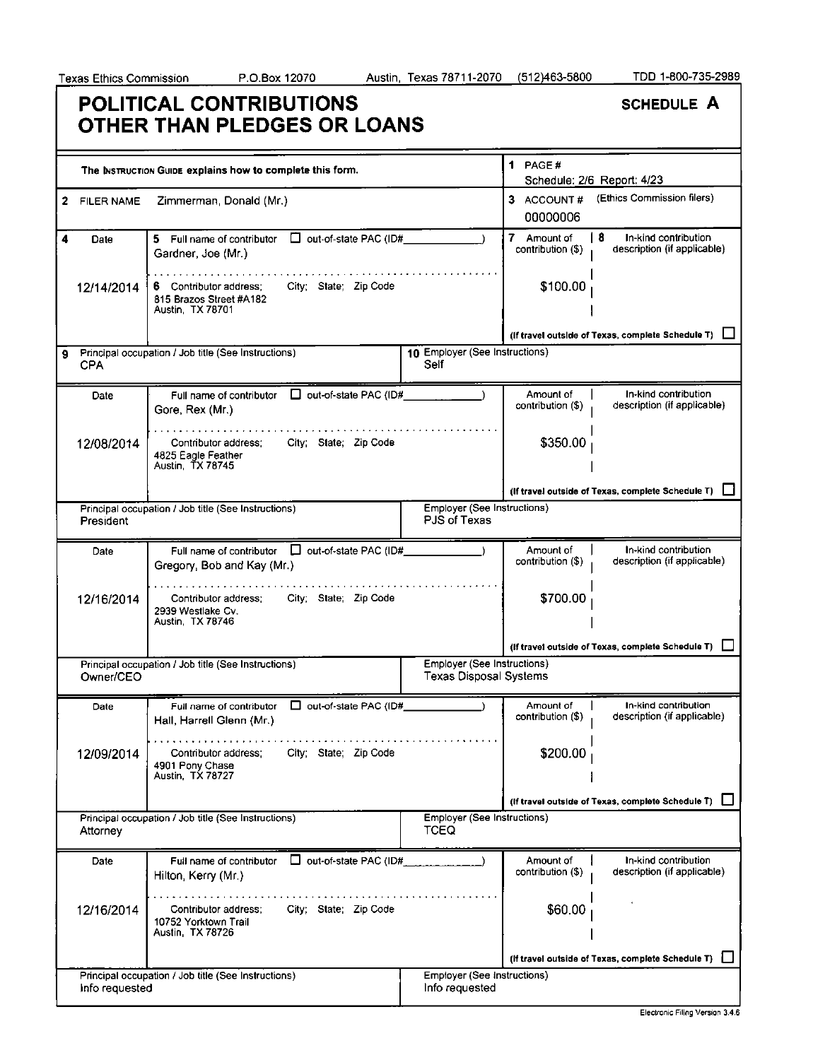# **POLITICAL CONTRIBUTIONS OTHER THAN PLEDGES OR LOANS**

|   |                   | The INSTRUCTION GUIDE explains how to complete this form.                                          |                                                              | 1 PAGE#                          | Schedule: 2/6 Report: 4/23                                |
|---|-------------------|----------------------------------------------------------------------------------------------------|--------------------------------------------------------------|----------------------------------|-----------------------------------------------------------|
| 2 | <b>FILER NAME</b> | Zimmerman, Donald (Mr.)                                                                            |                                                              | 3 ACCOUNT#<br>00000006           | (Ethics Commission filers)                                |
| 4 | Date              | □ out-of-state PAC (ID#<br>5 Full name of contributor<br>Gardner, Joe (Mr.)                        |                                                              | 7 Amount of<br>contribution (\$) | 18<br>In-kind contribution<br>description (if applicable) |
|   | 12/14/2014        | City; State; Zip Code<br>6 Contributor address;<br>815 Brazos Street #A182<br>Austin, TX 78701     |                                                              | \$100.00                         |                                                           |
|   |                   |                                                                                                    |                                                              |                                  | (If travel outside of Texas, complete Schedule T)         |
| 9 | <b>CPA</b>        | Principal occupation / Job title (See Instructions)                                                | 10 Employer (See Instructions)<br>Self                       |                                  |                                                           |
|   | Date              | Full name of contributor $\Box$ out-of-state PAC (ID# $\Box$<br>Gore, Rex (Mr.)                    |                                                              | Amount of<br>contribution (\$)   | In-kind contribution<br>description (if applicable)       |
|   | 12/08/2014        | Contributor address;<br>City; State; Zip Code<br>4825 Eagle Feather<br>Austin, TX 78745            |                                                              | \$350.00                         |                                                           |
|   |                   |                                                                                                    |                                                              |                                  | (If travel outside of Texas, complete Schedule T)         |
|   | President         | Principal occupation / Job title (See Instructions)                                                | Employer (See Instructions)<br>PJS of Texas                  |                                  |                                                           |
|   | Date              | Full name of contributor   out-of-state PAC (ID#<br>Gregory, Bob and Kay (Mr.)                     |                                                              | Amount of<br>contribution (\$)   | In-kind contribution<br>description (if applicable)       |
|   | 12/16/2014        | City; State; Zip Code<br>Contributor address:<br>2939 Westlake Cv.<br>Austin, TX 78746             |                                                              | \$700.00                         |                                                           |
|   |                   |                                                                                                    |                                                              |                                  | (If travel outside of Texas, complete Schedule T)         |
|   | Owner/CEO         | Principal occupation / Job title (See Instructions)                                                | Employer (See Instructions)<br><b>Texas Disposal Systems</b> |                                  |                                                           |
|   | Date              | □ out-of-state PAC (ID#<br>Full name of contributor<br>Hall, Harrell Glenn (Mr.)                   |                                                              | Amount of<br>contribution (\$)   | In-kind contribution<br>description (if applicable)       |
|   | 12/09/2014        | . <i>.</i><br>City; State; Zip Code<br>Contributor address;<br>4901 Pony Chase<br>Austin, TX 78727 |                                                              | \$200.00                         |                                                           |
|   |                   |                                                                                                    |                                                              |                                  | (If travel outside of Texas, complete Schedule T)         |
|   | Attorney          | Principal occupation / Job title (See Instructions)                                                | Employer (See Instructions)<br>TCEQ                          |                                  |                                                           |
|   | Date              | out-of-state PAC (ID#<br>Full name of contributor<br>Hilton, Kerry (Mr.)                           |                                                              | Amount of<br>contribution (\$)   | In-kind contribution<br>description (if applicable)       |
|   | 12/16/2014        | City; State; Zip Code<br>Contributor address;<br>10752 Yorktown Trail<br>Austin, TX 78726          |                                                              | \$60.00                          |                                                           |
|   |                   |                                                                                                    |                                                              |                                  | (If travel outside of Texas, complete Schedule T)         |
|   | Info requested    | Principal occupation / Job title (See Instructions)                                                | <b>Employer (See Instructions)</b><br>Info requested         |                                  |                                                           |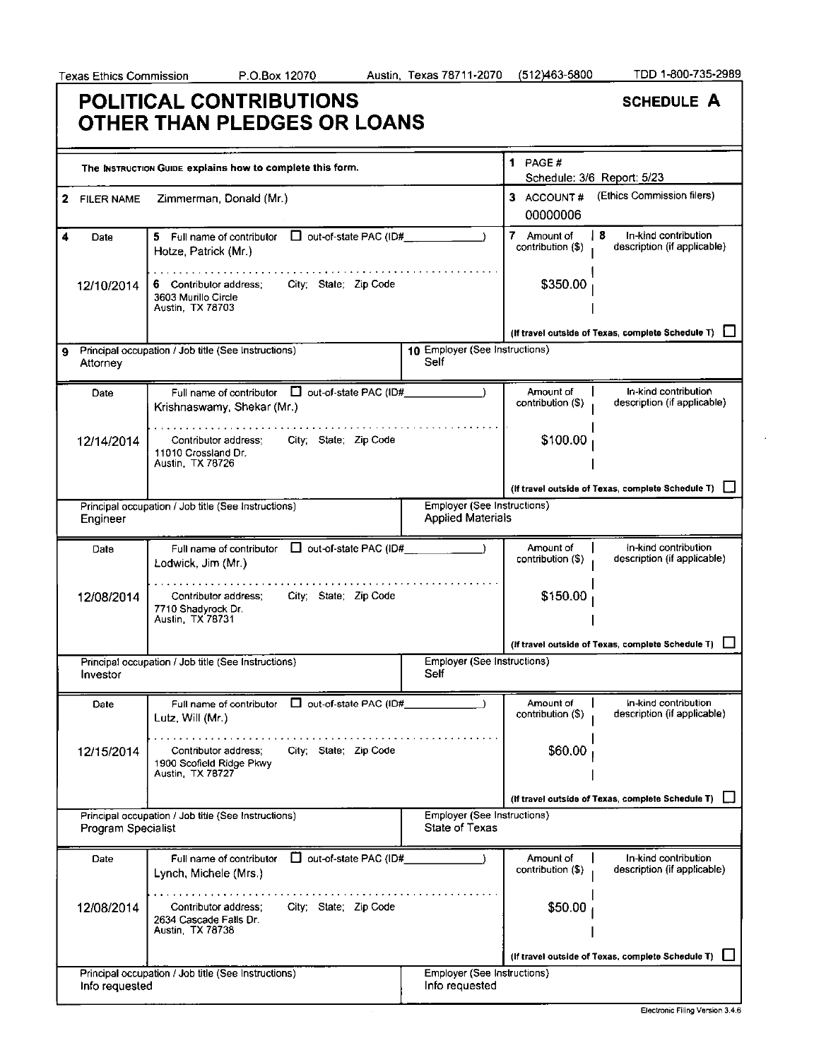| <b>POLITICAL CONTRIBUTIONS</b> |  |
|--------------------------------|--|
| OTHER THAN PLEDGES OR LOANS    |  |

|   |                           | The INSTRUCTION GUIDE explains how to complete this form.                                     |                                                         | 1 PAGE $#$                       | Schedule: 3/6 Report: 5/23                                 |
|---|---------------------------|-----------------------------------------------------------------------------------------------|---------------------------------------------------------|----------------------------------|------------------------------------------------------------|
| 2 | <b>FILER NAME</b>         | Zimmerman, Donald (Mr.)                                                                       |                                                         | 3 ACCOUNT#<br>00000006           | (Ethics Commission filers)                                 |
| 4 | Date                      | 5 Full name of contributor □ out-of-state PAC (ID#_________<br>Hotze, Patrick (Mr.)           |                                                         | 7 Amount of<br>contribution (\$) | l 8<br>In-kind contribution<br>description (if applicable) |
|   | 12/10/2014                | 6 Contributor address:<br>City: State; Zip Code<br>3603 Murillo Circle<br>Austin, TX 78703    |                                                         | \$350.00                         |                                                            |
|   |                           |                                                                                               |                                                         |                                  | (If travel outside of Texas, complete Schedule T)          |
|   | Attorney                  | Principal occupation / Job title (See Instructions)                                           | 10 Employer (See Instructions)<br>Self                  |                                  |                                                            |
|   | Date                      | Full name of contributor $\Box$ out-of-state PAC (ID#<br>Krishnaswamy, Shekar (Mr.)           |                                                         | Amount of<br>contribution (\$)   | In-kind contribution<br>description (if applicable)        |
|   | 12/14/2014                | City; State; Zip Code<br>Contributor address:<br>11010 Crossland Dr.<br>Austin, TX 78726      |                                                         | \$100.00                         |                                                            |
|   |                           |                                                                                               |                                                         |                                  | (If travel outside of Texas, complete Schedule T) [        |
|   | Engineer                  | Principal occupation / Job title (See Instructions)                                           | Employer (See Instructions)<br><b>Applied Materials</b> |                                  |                                                            |
|   | Date                      | Full name of contributor $\Box$ out-of-state PAC (ID#<br>Lodwick, Jim (Mr.)                   |                                                         | Amount of<br>contribution (\$)   | In-kind contribution<br>description (if applicable)        |
|   | 12/08/2014                | City; State; Zip Code<br>Contributor address;<br>7710 Shadyrock Dr.<br>Austin, TX 78731       |                                                         | \$150.00                         |                                                            |
|   |                           |                                                                                               |                                                         |                                  | (If travel outside of Texas, complete Schedule T)          |
|   | Investor                  | Principal occupation / Job title (See Instructions)                                           | <b>Employer (See Instructions)</b><br>Self              |                                  |                                                            |
|   | Date                      | Full name of contributor $\Box$ out-of-state PAC (ID#<br>Lutz, Will (Mr.)                     |                                                         | Amount of<br>contribution (\$)   | In-kind contribution<br>description (if applicable)        |
|   | 12/15/2014                | City; State; Zip Code<br>Contributor aggress;<br>1900 Scofield Ridge Pkwy<br>Austin, TX 78727 |                                                         | \$60.00                          |                                                            |
|   |                           |                                                                                               |                                                         |                                  | (If travel outside of Texas, complete Schedule T)          |
|   | <b>Program Specialist</b> | Principal occupation / Job title (See Instructions)                                           | Employer (See Instructions)<br><b>State of Texas</b>    |                                  |                                                            |
|   | Date                      | out-of-state PAC (ID#<br>Full name of contributor<br>Lynch, Michele (Mrs.)                    |                                                         | Amount of<br>contribution (\$)   | In-kind contribution<br>description (if applicable)        |
|   | 12/08/2014                | City; State; Zip Code<br>Contributor address:<br>2634 Cascade Falls Dr.<br>Austin, TX 78738   |                                                         | \$50.00                          |                                                            |
|   |                           |                                                                                               |                                                         |                                  | (If travel outside of Texas, complete Schedule T)          |
|   | Info requested            | Principal occupation / Job title (See Instructions)                                           | Employer (See Instructions)<br>Info requested           |                                  |                                                            |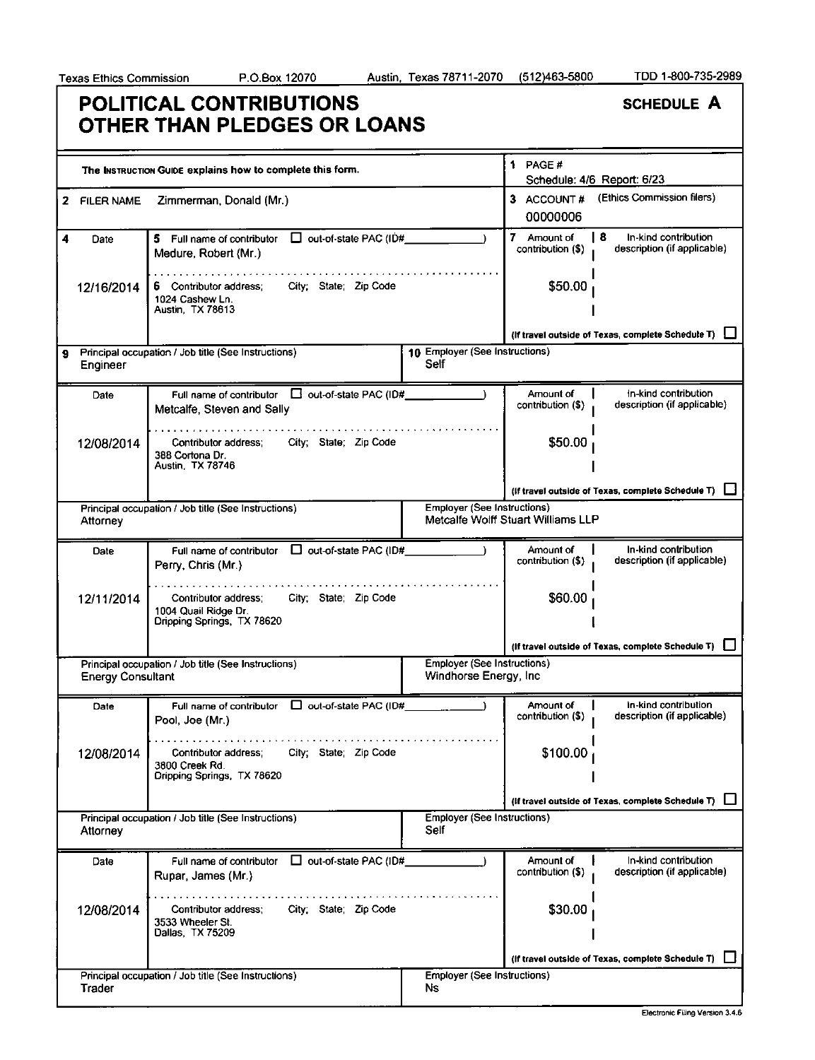## **POLITICAL CONTRIBUTIONS OTHER THAN PLEDGES OR LOANS**

|   |                          | The INSTRUCTION GUIDE explains how to complete this form.                                           |                                                       | 1 PAGE $#$                         | Schedule: 4/6 Report: 6/23                                 |
|---|--------------------------|-----------------------------------------------------------------------------------------------------|-------------------------------------------------------|------------------------------------|------------------------------------------------------------|
|   | 2 FILER NAME             | Zimmerman, Donald (Mr.)                                                                             |                                                       | 3 ACCOUNT#<br>00000006             | (Ethics Commission filers)                                 |
| 4 | Date                     | 5 Full name of contributor $\Box$ out-of-state PAC (ID#<br>Medure, Robert (Mr.)                     |                                                       | 7 Amount of<br>contribution (\$)   | 8 I<br>In-kind contribution<br>description (if applicable) |
|   | 12/16/2014               | City; State: Zip Code<br>6 Contributor address;<br>1024 Cashew Ln.<br>Austin, TX 78613              |                                                       | \$50.00                            |                                                            |
|   |                          |                                                                                                     |                                                       |                                    | (If travel outside of Texas, complete Schedule T)          |
| 9 | Engineer                 | Principal occupation / Job title (See Instructions)                                                 | 10 Employer (See Instructions)<br>Self                |                                    |                                                            |
|   | Date                     | Full name of contributor $\Box$ out-of-state PAC (ID#<br>Metcalfe, Steven and Sally                 |                                                       | Amount of<br>contribution (\$)     | In-kind contribution<br>description (if applicable)        |
|   | 12/08/2014               | Contributor address;<br>City; State; Zip Code<br>388 Cortona Dr.<br>Austin, TX 78746                |                                                       | \$50.00                            |                                                            |
|   |                          |                                                                                                     |                                                       |                                    | (If travel outside of Texas, complete Schedule T) [        |
|   |                          | Principal occupation / Job title (See Instructions)                                                 | <b>Employer (See Instructions)</b>                    |                                    |                                                            |
|   | Attorney                 |                                                                                                     |                                                       | Metcalfe Wolff Stuart Williams LLP |                                                            |
|   | Date                     | Full name of contributor<br>$\Box$ out-of-state PAC (ID#<br>Perry, Chris (Mr.)                      |                                                       | Amount of<br>contribution (\$)     | In-kind contribution<br>description (if applicable)        |
|   | 12/11/2014               | City; State; Zip Code<br>Contributor address;<br>1004 Quail Ridge Dr.<br>Dripping Springs, TX 78620 |                                                       | \$60.00                            |                                                            |
|   |                          |                                                                                                     |                                                       |                                    | (If travel outside of Texas, complete Schedule T)          |
|   | <b>Energy Consultant</b> | Principal occupation / Job title (See Instructions)                                                 | Employer (See Instructions)<br>Windhorse Energy, Inc. |                                    |                                                            |
|   | Date                     | Full name of contributor $\Box$ out-of-state PAC (ID#<br>Pool, Joe (Mr.)                            |                                                       | Amount of<br>contribution (\$)     | In-kind contribution<br>description (if applicable)        |
|   | 12/08/2014               | Contributor address;<br>City; State; Zip Code<br>3800 Creek Rd.<br>Dripping Springs, TX 78620       |                                                       | \$100.00                           |                                                            |
|   |                          |                                                                                                     |                                                       |                                    | (If travel outside of Texas, complete Schedule T)          |
|   | Attorney                 | Principal occupation / Job title (See Instructions)                                                 | <b>Employer (See Instructions)</b><br>Self            |                                    |                                                            |
|   | Date                     | $\Box$ out-of-state PAC (ID#<br>Full name of contributor<br>Rupar, James (Mr.)                      |                                                       | Amount of<br>contribution (\$)     | In-kind contribution<br>description (if applicable)        |
|   | 12/08/2014               | City; State; Zip Code<br>Contributor address:<br>3533 Wheeler St.<br>Dallas, TX 75209               |                                                       | \$30.00                            |                                                            |
|   |                          |                                                                                                     |                                                       |                                    | (If travel outside of Texas, complete Schedule T)          |
|   | Trader                   | Principal occupation / Job title (See Instructions)                                                 | <b>Employer (See Instructions)</b><br>Ns.             |                                    |                                                            |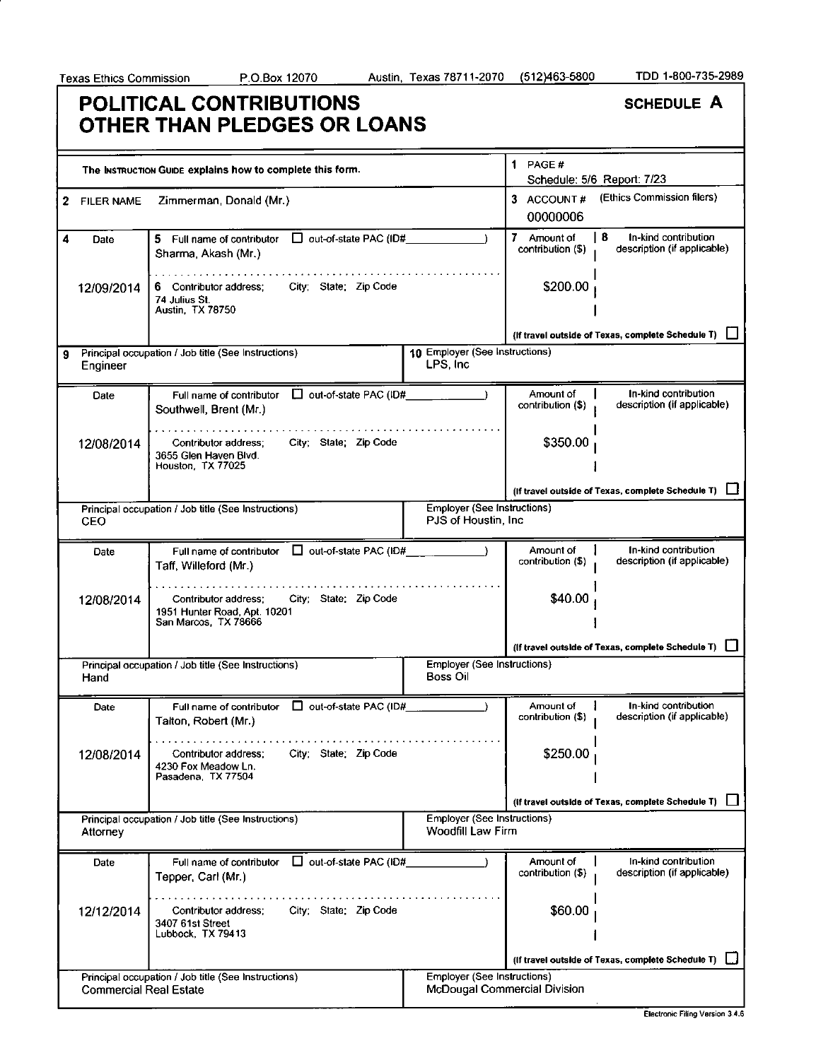## **POLITICAL CONTRIBUTIONS OTHER THAN PLEDGES OR LOANS**

|   |                               | The INSTRUCTION GUIDE explains how to complete this form.                                             |                                                         | 1 PAGE#                          | Schedule: 5/6 Report: 7/23                                |
|---|-------------------------------|-------------------------------------------------------------------------------------------------------|---------------------------------------------------------|----------------------------------|-----------------------------------------------------------|
| 2 | <b>FILER NAME</b>             | Zimmerman, Donald (Mr.)                                                                               |                                                         | 3 ACCOUNT#<br>00000006           | (Ethics Commission filers)                                |
| 4 | Date                          | 5 Full name of contributor $\Box$ out-of-state PAC (ID#<br>Sharma, Akash (Mr.)                        |                                                         | 7 Amount of<br>contribution (\$) | -8<br>In-kind contribution<br>description (if applicable) |
|   | 12/09/2014                    | City; State: Zip Code<br>6 Contributor address;<br>74 Julius St.<br>Austin, TX 78750                  |                                                         | \$200.00                         |                                                           |
|   |                               |                                                                                                       |                                                         |                                  | (If travel outside of Texas, complete Schedule T)         |
| 9 | Engineer                      | Principal occupation / Job title (See Instructions)                                                   | 10 Employer (See Instructions)<br>LPS, Inc.             |                                  |                                                           |
|   | Date                          | Full name of contributor   out-of-state PAC (ID#<br>Southwell, Brent (Mr.)                            |                                                         | Amount of<br>contribution (\$)   | In-kind contribution<br>description (if applicable)       |
|   | 12/08/2014                    | City; State; Zip Code<br>Contributor address:<br>3655 Glen Haven Blvd.<br>Houston, TX 77025           |                                                         | \$350.00                         |                                                           |
|   |                               |                                                                                                       |                                                         |                                  | (If travel outside of Texas, complete Schedule T)         |
|   |                               | Principal occupation / Job title (See Instructions)                                                   | <b>Employer (See Instructions)</b>                      |                                  |                                                           |
|   | CEO                           |                                                                                                       | PJS of Houstin, Inc.                                    |                                  |                                                           |
|   | Date                          | Full name of contributor $\Box$ out-of-state PAC (ID#<br>Taff, Willeford (Mr.)                        |                                                         | Amount of<br>contribution (\$)   | In-kind contribution<br>description (if applicable)       |
|   | 12/08/2014                    | City; State; Zip Code<br>Contributor address:<br>1951 Hunter Road, Apt. 10201<br>San Marcos, TX 78666 |                                                         | \$40.00                          |                                                           |
|   |                               |                                                                                                       |                                                         |                                  | (If travel outside of Texas, complete Schedule T)         |
|   | Hand                          | Principal occupation / Job title (See Instructions)                                                   | <b>Employer (See Instructions)</b><br><b>Boss Oil</b>   |                                  |                                                           |
|   | Date                          | □ out-of-state PAC (ID#<br>Full name of contributor<br>Talton, Robert (Mr.)                           |                                                         | Amount of<br>contribution (\$)   | In-kind contribution<br>description (if applicable)       |
|   | 12/08/2014                    | City: State: Zip Code<br>Contributor address;<br>4230 Fox Meadow Ln.<br>Pasadena, TX 77504            |                                                         | \$250.00                         |                                                           |
|   |                               |                                                                                                       |                                                         |                                  | (if travel outside of Texas, complete Schedule T)         |
|   | Attorney                      | Principal occupation / Job title (See Instructions)                                                   | <b>Employer (See Instructions)</b><br>Woodfill Law Firm |                                  |                                                           |
|   | Date                          | $\Box$ out-of-state PAC (ID#<br>Full name of contributor<br>Tepper, Carl (Mr.)                        |                                                         | Amount of<br>contribution (\$)   | In-kind contribution<br>description (if applicable)       |
|   | 12/12/2014                    | City: State: Zip Code<br>Contributor address;<br>3407 61st Street<br>Lubbock, TX 79413                |                                                         | \$60.00                          |                                                           |
|   |                               |                                                                                                       |                                                         |                                  | (If travel outside of Texas, complete Schedule T)         |
|   | <b>Commercial Real Estate</b> | Principal occupation / Job title (See Instructions)                                                   | Employer (See Instructions)                             | McDougal Commercial Division     |                                                           |

Electronic Filing Version 3.4.6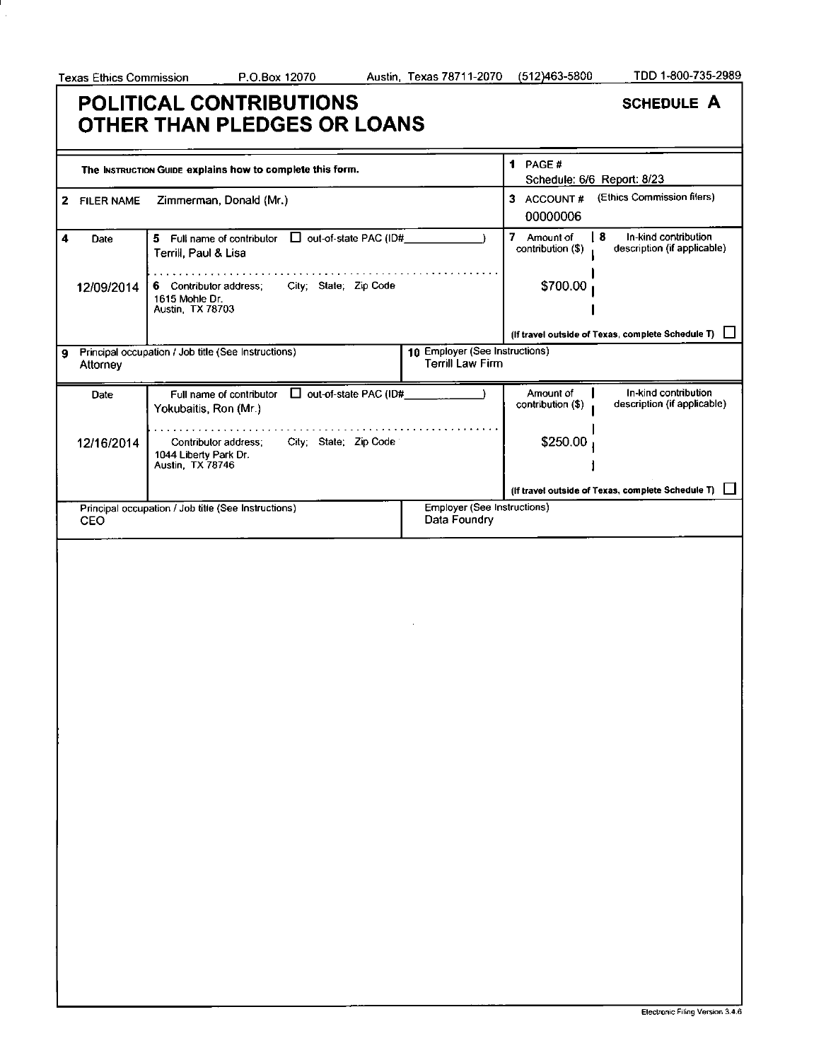## **POLITICAL CONTRIBUTIONS OTHER THAN PLEDGES OR LOANS**

|   |              | The INSTRUCTION GUIDE explains how to complete this form.                            |                                                           | 1 PAGE#                          | Schedule: 6/6 Report: 8/23                                 |
|---|--------------|--------------------------------------------------------------------------------------|-----------------------------------------------------------|----------------------------------|------------------------------------------------------------|
|   | 2 FILER NAME | Zimmerman, Donald (Mr.)                                                              |                                                           | 3 ACCOUNT#<br>00000006           | (Ethics Commission filers)                                 |
| 4 | Date         | 5 Full name of contributor $\Box$ out-of-state PAC (ID#<br>Terrill, Paul & Lisa      |                                                           | 7 Amount of<br>contribution (\$) | l 8<br>In-kind contribution<br>description (if applicable) |
|   | 12/09/2014   | City; State; Zip Code<br>6 Contributor address;<br>1615 Mohle Dr.<br>Austin TX 78703 |                                                           | \$700.00                         |                                                            |
|   |              |                                                                                      |                                                           |                                  | (If travel outside of Texas, complete Schedule T)          |
| 9 | Attorney     | Principal occupation / Job title (See Instructions)                                  | 10 Employer (See Instructions)<br><b>Terrill Law Firm</b> |                                  |                                                            |
|   | Date         | Full name of contributor $\Box$ out-of-state PAC (ID#<br>Yokubaitis, Ron (Mr.)       |                                                           | Amount of<br>contribution (\$)   | In-kind contribution<br>description (if applicable)        |
|   | 12/16/2014   | City; State; Zip Code<br>Contributor address;<br>1044 Liberty Park Dr.               |                                                           | \$250.00                         |                                                            |
|   |              | Austin, TX 78746                                                                     |                                                           |                                  |                                                            |
|   |              |                                                                                      |                                                           |                                  | (If travel outside of Texas, complete Schedule T)          |
|   | <b>CEO</b>   | Principal occupation / Job title (See Instructions)                                  | Employer (See Instructions)<br>Data Foundry               |                                  |                                                            |
|   |              |                                                                                      |                                                           |                                  |                                                            |
|   |              |                                                                                      |                                                           |                                  |                                                            |
|   |              |                                                                                      |                                                           |                                  |                                                            |
|   |              |                                                                                      |                                                           |                                  |                                                            |
|   |              |                                                                                      |                                                           |                                  |                                                            |
|   |              |                                                                                      |                                                           |                                  |                                                            |
|   |              |                                                                                      |                                                           |                                  |                                                            |
|   |              |                                                                                      |                                                           |                                  |                                                            |
|   |              |                                                                                      |                                                           |                                  |                                                            |
|   |              |                                                                                      |                                                           |                                  |                                                            |
|   |              |                                                                                      |                                                           |                                  |                                                            |
|   |              |                                                                                      |                                                           |                                  |                                                            |
|   |              |                                                                                      |                                                           |                                  |                                                            |
|   |              |                                                                                      |                                                           |                                  |                                                            |
|   |              |                                                                                      |                                                           |                                  |                                                            |
|   |              |                                                                                      |                                                           |                                  |                                                            |
|   |              |                                                                                      |                                                           |                                  |                                                            |
|   |              |                                                                                      |                                                           |                                  |                                                            |
|   |              |                                                                                      |                                                           |                                  |                                                            |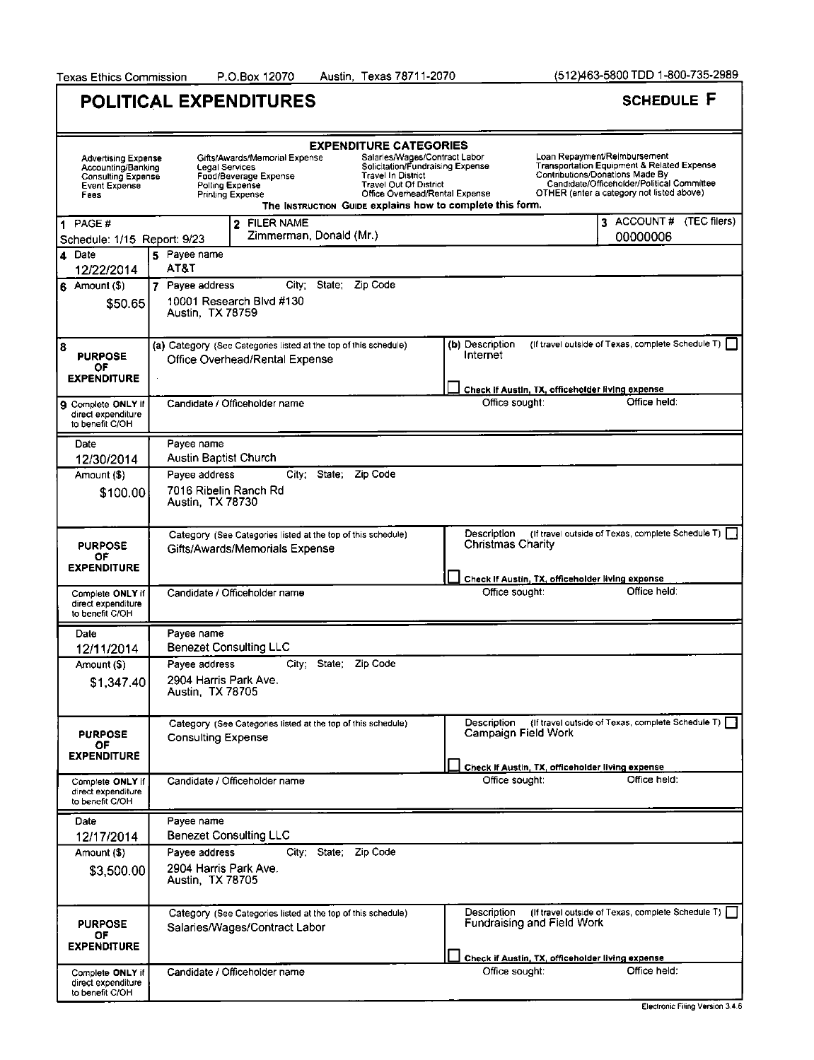|                                                                                                 |                                           | POLITICAL EXPENDITURES                                                                                                        |                                                                                                                                                                   |                                                           |                                                  | <b>SCHEDULE F</b>                                                                                                                                                                                        |  |
|-------------------------------------------------------------------------------------------------|-------------------------------------------|-------------------------------------------------------------------------------------------------------------------------------|-------------------------------------------------------------------------------------------------------------------------------------------------------------------|-----------------------------------------------------------|--------------------------------------------------|----------------------------------------------------------------------------------------------------------------------------------------------------------------------------------------------------------|--|
|                                                                                                 |                                           |                                                                                                                               | <b>EXPENDITURE CATEGORIES</b>                                                                                                                                     |                                                           |                                                  |                                                                                                                                                                                                          |  |
| <b>Advertising Expense</b><br>Accounting/Banking<br>Consulting Expense<br>Event Expense<br>Fees |                                           | Gifts/Awards/Memorial Expense<br><b>Legal Services</b><br>Food/Beverage Expense<br>Polling Expense<br><b>Printing Expense</b> | Salaries/Wages/Contract Labor<br>Solicitation/Fundraising Expense<br><b>Travel In District</b><br><b>Travel Out Of District</b><br>Office Overhead/Rental Expense | The Instruction Guipe explains how to complete this form. |                                                  | Loan Repayment/Reimbursement<br>Transportation Equipment & Related Expense<br>Contributions/Donations Made By<br>Candidate/Officeholder/Political Committee<br>OTHER (enter a category not listed above) |  |
| 1 PAGE#<br>Schedule: 1/15 Report: 9/23                                                          |                                           | 2 FILER NAME<br>Zimmerman, Donald (Mr.)                                                                                       |                                                                                                                                                                   |                                                           |                                                  | 3 ACCOUNT # (TEC filers)<br>00000006                                                                                                                                                                     |  |
| 4 Date<br>12/22/2014                                                                            | 5 Payee name<br>AT&T                      |                                                                                                                               |                                                                                                                                                                   |                                                           |                                                  |                                                                                                                                                                                                          |  |
| $6$ Amount (\$)                                                                                 | 7 Pavee address                           |                                                                                                                               | City: State: Zip Code                                                                                                                                             |                                                           |                                                  |                                                                                                                                                                                                          |  |
| \$50.65                                                                                         | Austin, TX 78759                          | 10001 Research Blvd #130                                                                                                      |                                                                                                                                                                   |                                                           |                                                  |                                                                                                                                                                                                          |  |
| 8<br><b>PURPOSE</b><br>ΟF                                                                       |                                           | (a) Category (See Categories listed at the top of this schedule)<br>Office Overhead/Rental Expense                            |                                                                                                                                                                   | (b) Description<br>Internet                               |                                                  | (If travel outside of Texas, complete Schedule T) [                                                                                                                                                      |  |
| <b>EXPENDITURE</b>                                                                              |                                           |                                                                                                                               |                                                                                                                                                                   |                                                           | Check if Austin, TX, officeholder living expense |                                                                                                                                                                                                          |  |
| 9 Complete ONLY if<br>direct expenditure<br>to benefit C/OH                                     |                                           | Candidate / Officeholder name                                                                                                 |                                                                                                                                                                   | Office sought:                                            |                                                  | Office held:                                                                                                                                                                                             |  |
| Date                                                                                            | Pavee name                                |                                                                                                                               |                                                                                                                                                                   |                                                           |                                                  |                                                                                                                                                                                                          |  |
| 12/30/2014                                                                                      | Austin Baptist Church                     |                                                                                                                               |                                                                                                                                                                   |                                                           |                                                  |                                                                                                                                                                                                          |  |
| Amount (\$)                                                                                     | Payee address                             | City:                                                                                                                         | State: Zip Code                                                                                                                                                   |                                                           |                                                  |                                                                                                                                                                                                          |  |
| \$100.00                                                                                        | Austin, TX 78730                          | 7016 Ribelin Ranch Rd                                                                                                         |                                                                                                                                                                   |                                                           |                                                  |                                                                                                                                                                                                          |  |
| <b>PURPOSE</b><br>ОF                                                                            |                                           | Category (See Categories listed at the top of this schedule)<br>Gifts/Awards/Memorials Expense                                |                                                                                                                                                                   | Description<br><b>Christmas Charity</b>                   |                                                  | (If travel outside of Texas, complete Schedule T)                                                                                                                                                        |  |
| <b>EXPENDITURE</b>                                                                              |                                           |                                                                                                                               |                                                                                                                                                                   |                                                           | Check If Austin, TX, officeholder living expense |                                                                                                                                                                                                          |  |
| Complete ONLY if<br>direct expenditure<br>to benefit C/OH                                       |                                           | Candidate / Officeholder name                                                                                                 |                                                                                                                                                                   | Office sought:                                            |                                                  | Office held:                                                                                                                                                                                             |  |
| Date                                                                                            | Payee name                                |                                                                                                                               |                                                                                                                                                                   |                                                           |                                                  |                                                                                                                                                                                                          |  |
| 12/11/2014                                                                                      |                                           | <b>Benezet Consulting LLC</b>                                                                                                 |                                                                                                                                                                   |                                                           |                                                  |                                                                                                                                                                                                          |  |
| Amount (\$)                                                                                     | Pavee address<br>2904 Harris Park Ave.    | City;                                                                                                                         | State:<br>Zip Code                                                                                                                                                |                                                           |                                                  |                                                                                                                                                                                                          |  |
| \$1,347.40                                                                                      | Austin, TX 78705                          |                                                                                                                               |                                                                                                                                                                   |                                                           |                                                  |                                                                                                                                                                                                          |  |
| <b>PURPOSE</b><br>ОF<br><b>EXPENDITURE</b>                                                      | <b>Consulting Expense</b>                 | Category (See Categories listed at the top of this schedule)                                                                  |                                                                                                                                                                   | Description<br>Campaign Field Work                        |                                                  | {If travel outside of Texas, complete Schedule T)                                                                                                                                                        |  |
|                                                                                                 |                                           |                                                                                                                               |                                                                                                                                                                   |                                                           | Check If Austin, TX, officeholder living expense |                                                                                                                                                                                                          |  |
| Complete ONLY if<br>direct expenditure<br>to benefit C/OH                                       |                                           | Candidate / Officeholder name                                                                                                 |                                                                                                                                                                   | Office sought:                                            |                                                  | Office held:                                                                                                                                                                                             |  |
| Date<br>12/17/2014                                                                              | Payee name                                | <b>Benezet Consulting LLC</b>                                                                                                 |                                                                                                                                                                   |                                                           |                                                  |                                                                                                                                                                                                          |  |
| Amount (\$)                                                                                     | Payee address                             |                                                                                                                               | City; State; Zip Code                                                                                                                                             |                                                           |                                                  |                                                                                                                                                                                                          |  |
| \$3,500.00                                                                                      | 2904 Harris Park Ave.<br>Austin, TX 78705 |                                                                                                                               |                                                                                                                                                                   |                                                           |                                                  |                                                                                                                                                                                                          |  |
| <b>PURPOSE</b><br>ΟF<br><b>EXPENDITURE</b>                                                      |                                           | Category (See Categories listed at the top of this schedule)<br>Salaries/Wages/Contract Labor                                 |                                                                                                                                                                   | Description                                               | Fundraising and Field Work                       | (If travel outside of Texas, complete Schedule T) [                                                                                                                                                      |  |
|                                                                                                 |                                           |                                                                                                                               |                                                                                                                                                                   |                                                           | Check if Austin, TX, officeholder living expense | Office held:                                                                                                                                                                                             |  |
| Complete ONLY if<br>direct expenditure<br>to benefit C/OH                                       |                                           | Candidate / Officeholder name                                                                                                 |                                                                                                                                                                   | Office sought:                                            |                                                  | Electronic Ellino Marcion 3 4 B                                                                                                                                                                          |  |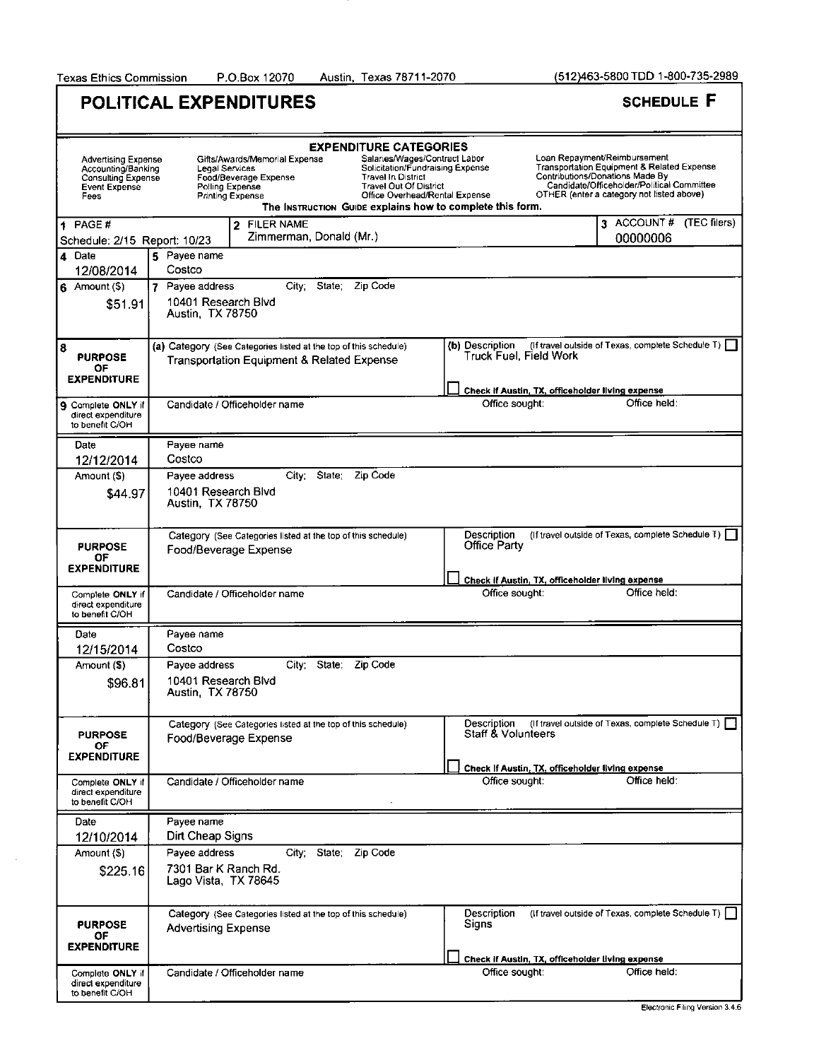Austin, Texas 78711-2070

(512)463-5800 TDD 1-800-735-2989

٦

|                                                                                                               | <b>POLITICAL EXPENDITURES</b>                                                                                                                                                                                                                     | <b>SCHEDULE F</b>                                                                                                                                                                                                                                                                                                          |
|---------------------------------------------------------------------------------------------------------------|---------------------------------------------------------------------------------------------------------------------------------------------------------------------------------------------------------------------------------------------------|----------------------------------------------------------------------------------------------------------------------------------------------------------------------------------------------------------------------------------------------------------------------------------------------------------------------------|
|                                                                                                               | <b>EXPENDITURE CATEGORIES</b>                                                                                                                                                                                                                     |                                                                                                                                                                                                                                                                                                                            |
| <b>Advertising Expense</b><br>Accounting/Banking<br><b>Consulting Expense</b><br><b>Event Expense</b><br>Fees | Gifts/Awards/Memorial Expense<br>Legal Services<br><b>Travel In District</b><br>Food/Beverage Expense<br><b>Travel Out Of District</b><br>Polling Expense<br><b>Printing Expense</b><br>The Instruction Guipe explains how to complete this form. | Loan Repayment/Reimbursement<br>Salaries/Wages/Contract Labor<br><b>Transportation Equipment &amp; Related Expense</b><br>Solicitation/Fundraising Expense<br>Contributions/Donations Made By<br>Candidate/Officeholder/Political Committee<br>OTHER (enter a category not listed above)<br>Office Overhead/Rental Expense |
| 1 PAGE#                                                                                                       | 2 FILER NAME                                                                                                                                                                                                                                      | 3 ACCOUNT # (TEC filers)                                                                                                                                                                                                                                                                                                   |
| Schedule: 2/15 Report: 10/23                                                                                  | Zimmerman, Donald (Mr.)                                                                                                                                                                                                                           | 00000006                                                                                                                                                                                                                                                                                                                   |
| 4 Date<br>12/08/2014                                                                                          | 5 Payee name<br>Costco                                                                                                                                                                                                                            |                                                                                                                                                                                                                                                                                                                            |
| $6$ Amount (\$)                                                                                               | City:<br>State: Zip Code<br>7 Payee address                                                                                                                                                                                                       |                                                                                                                                                                                                                                                                                                                            |
| \$51.91                                                                                                       | 10401 Research Blvd<br>Austin, TX 78750                                                                                                                                                                                                           |                                                                                                                                                                                                                                                                                                                            |
| 8<br><b>PURPOSE</b><br>OF.<br><b>EXPENDITURE</b>                                                              | (a) Category (See Categories listed at the top of this schedule)<br><b>Transportation Equipment &amp; Related Expense</b>                                                                                                                         | (If travel outside of Texas, complete Schedule T)  <br>(b) Description<br>Truck Fuel, Field Work                                                                                                                                                                                                                           |
|                                                                                                               |                                                                                                                                                                                                                                                   | Check if Austin, TX, officeholder living expense                                                                                                                                                                                                                                                                           |
| 9 Complete ONLY if<br>direct expenditure<br>to benefit C/OH                                                   | Candidate / Officeholder name                                                                                                                                                                                                                     | Office held:<br>Office sought:                                                                                                                                                                                                                                                                                             |
| Date                                                                                                          | Payee name                                                                                                                                                                                                                                        |                                                                                                                                                                                                                                                                                                                            |
| 12/12/2014                                                                                                    | Costco                                                                                                                                                                                                                                            |                                                                                                                                                                                                                                                                                                                            |
| Amount (\$)<br>\$44.97                                                                                        | City State; Zip Code<br>Pavee address<br>10401 Research Blvd<br>Austin, TX 78750                                                                                                                                                                  |                                                                                                                                                                                                                                                                                                                            |
| <b>PURPOSE</b><br>0F                                                                                          | Category (See Categories listed at the top of this schedule)<br>Food/Beverage Expense                                                                                                                                                             | Description<br>(If travel outside of Texas, complete Schedule T)  <br>Office Party                                                                                                                                                                                                                                         |
| <b>EXPENDITURE</b>                                                                                            |                                                                                                                                                                                                                                                   | Check if Austin, TX, officeholder living expense                                                                                                                                                                                                                                                                           |
| Complete ONLY if<br>direct expenditure<br>to benefit C/OH                                                     | Candidate / Officeholder name                                                                                                                                                                                                                     | Office held:<br>Office sought:                                                                                                                                                                                                                                                                                             |
| Date                                                                                                          | Payee name                                                                                                                                                                                                                                        |                                                                                                                                                                                                                                                                                                                            |
| 12/15/2014                                                                                                    | Costco                                                                                                                                                                                                                                            |                                                                                                                                                                                                                                                                                                                            |
| Amount (\$)<br>\$96.81                                                                                        | Payee address<br>City: State.<br>Zip Code<br>10401 Research Blvd<br>Austin, TX 78750                                                                                                                                                              |                                                                                                                                                                                                                                                                                                                            |
| <b>PURPOSE</b><br>OF.                                                                                         | Category (See Categories listed at the top of this schedule)<br>Food/Beverage Expense                                                                                                                                                             | (If travel outside of Texas, complete Schedule T)<br>Description<br>Staff & Volunteers                                                                                                                                                                                                                                     |
| <b>EXPENDITURE</b>                                                                                            |                                                                                                                                                                                                                                                   | Check If Austin, TX, officeholder living expense                                                                                                                                                                                                                                                                           |
| Complete ONLY if<br>direct expenditure<br>to benefit C/OH                                                     | Candidate / Officeholder name                                                                                                                                                                                                                     | Office held:<br>Office sought:                                                                                                                                                                                                                                                                                             |
| Date                                                                                                          | Payee name                                                                                                                                                                                                                                        |                                                                                                                                                                                                                                                                                                                            |
| 12/10/2014                                                                                                    | Dirt Cheap Signs                                                                                                                                                                                                                                  |                                                                                                                                                                                                                                                                                                                            |
| Amount (\$)<br>\$225.16                                                                                       | City: State: Zip Code<br>Payee address<br>7301 Bar K Ranch Rd.<br>Lago Vista, TX 78645                                                                                                                                                            |                                                                                                                                                                                                                                                                                                                            |
| <b>PURPOSE</b><br>OF<br><b>EXPENDITURE</b>                                                                    | Category (See Categories listed at the top of this schedule)<br><b>Advertising Expense</b>                                                                                                                                                        | (If travel outside of Texas, complete Schedule T) [<br>Description<br>Signs                                                                                                                                                                                                                                                |
|                                                                                                               |                                                                                                                                                                                                                                                   | Check if Austin, TX, officeholder living expense                                                                                                                                                                                                                                                                           |
| Complete ONLY if<br>direct expenditure<br>to benefit C/OH                                                     | Candidate / Officeholder name                                                                                                                                                                                                                     | Office held:<br>Office sought:                                                                                                                                                                                                                                                                                             |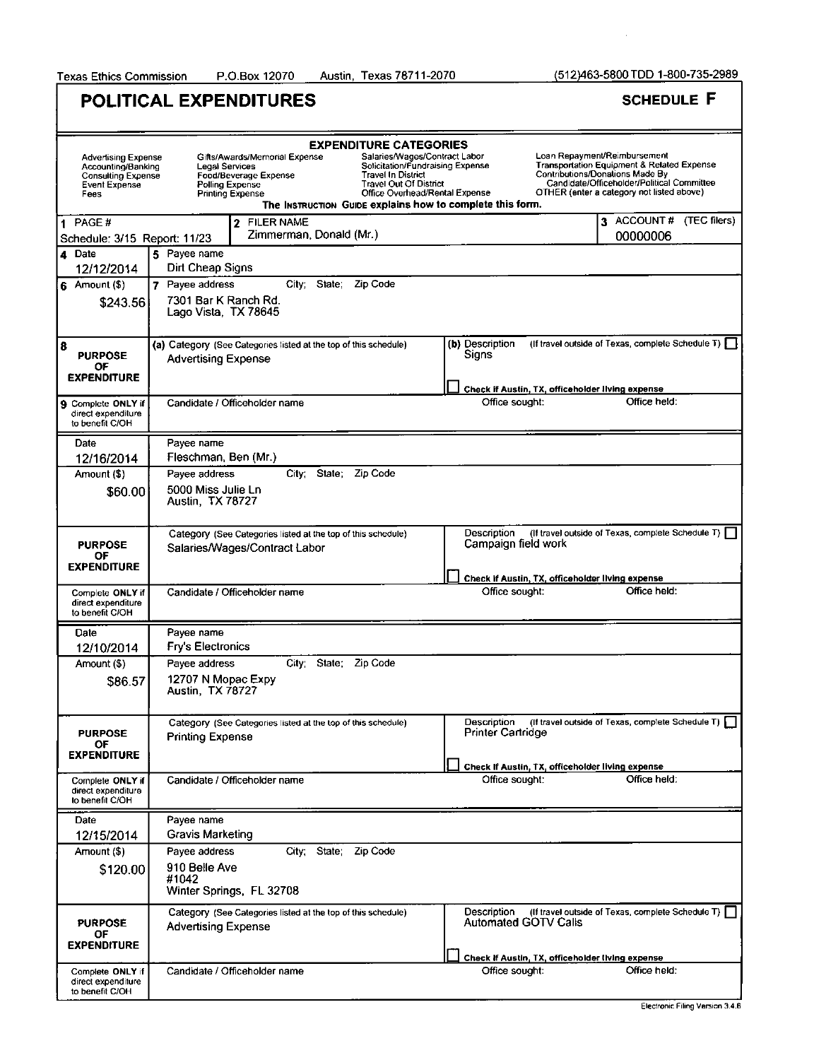Texas Ethics Commission P.O.Box 12070 Austin, Texas 78711-2070

(512)463-5800 TDD 1-800-735-2989

 $\bar{z}$ 

| <b>POLITICAL EXPENDITURES</b> | <b>SCHEDULE F</b> |
|-------------------------------|-------------------|
|-------------------------------|-------------------|

|                                                                                                        | <b>EXPENDITURE CATEGORIES</b>                                                                                                                                                                                                                                                                                                                            |                                                                                                                                                                                                          |  |  |  |
|--------------------------------------------------------------------------------------------------------|----------------------------------------------------------------------------------------------------------------------------------------------------------------------------------------------------------------------------------------------------------------------------------------------------------------------------------------------------------|----------------------------------------------------------------------------------------------------------------------------------------------------------------------------------------------------------|--|--|--|
| <b>Advertising Expense</b><br>Accounting/Banking<br><b>Consulting Expense</b><br>Event Expense<br>Fees | Salaries/Wages/Contract Labor<br>Gifts/Awards/Memorial Expense<br>Solicitation/Fundraising Expense<br>Legal Services<br><b>Travel In District</b><br>Food/Beverage Expense<br><b>Travel Out Of District</b><br>Polling Expense<br>Office Overhead/Rental Expense<br><b>Printing Expense</b><br>The INSTRUCTION GUIDE explains how to complete this form. | Loan Repayment/Reimbursement<br>Transportation Equipment & Related Expense<br>Contributions/Donations Made By<br>Candidate/Officeholder/Political Committee<br>OTHER (enter a category not listed above) |  |  |  |
| $1$ PAGE #                                                                                             | 2 FILER NAME                                                                                                                                                                                                                                                                                                                                             | 3 ACCOUNT # (TEC filers)                                                                                                                                                                                 |  |  |  |
| Schedule: 3/15 Report: 11/23                                                                           | Zimmerman, Donald (Mr.)                                                                                                                                                                                                                                                                                                                                  | 00000006                                                                                                                                                                                                 |  |  |  |
| 4 Date                                                                                                 | 5 Payee name                                                                                                                                                                                                                                                                                                                                             |                                                                                                                                                                                                          |  |  |  |
| 12/12/2014                                                                                             | Dirt Cheap Signs                                                                                                                                                                                                                                                                                                                                         |                                                                                                                                                                                                          |  |  |  |
| 6 Amount (\$)                                                                                          | City: State: Zip Code<br>7 Payee address                                                                                                                                                                                                                                                                                                                 |                                                                                                                                                                                                          |  |  |  |
| \$243.56                                                                                               | 7301 Bar K Ranch Rd.<br>Lago Vista, TX 78645                                                                                                                                                                                                                                                                                                             |                                                                                                                                                                                                          |  |  |  |
| 8<br><b>PURPOSE</b>                                                                                    | (a) Category (See Categories listed at the top of this schedule)<br><b>Advertising Expense</b>                                                                                                                                                                                                                                                           | (If travel outside of Texas, complete Schedule T)  <br>(b) Description<br>Signs                                                                                                                          |  |  |  |
| OF<br><b>EXPENDITURE</b>                                                                               |                                                                                                                                                                                                                                                                                                                                                          | Check if Austin, TX, officeholder living expense                                                                                                                                                         |  |  |  |
| 9 Complete ONLY if                                                                                     | Candidate / Officeholder name                                                                                                                                                                                                                                                                                                                            | Office held:<br>Office sought:                                                                                                                                                                           |  |  |  |
| direct expenditure<br>to benefit C/OH                                                                  |                                                                                                                                                                                                                                                                                                                                                          |                                                                                                                                                                                                          |  |  |  |
| Date                                                                                                   | Payee name                                                                                                                                                                                                                                                                                                                                               |                                                                                                                                                                                                          |  |  |  |
| 12/16/2014                                                                                             | Fleschman, Ben (Mr.)                                                                                                                                                                                                                                                                                                                                     |                                                                                                                                                                                                          |  |  |  |
| Amount (\$)                                                                                            | State:<br>Zip Code<br>Payee address<br>Citv:                                                                                                                                                                                                                                                                                                             |                                                                                                                                                                                                          |  |  |  |
| \$60.00                                                                                                | 5000 Miss Julie Ln<br>Austin, TX 78727                                                                                                                                                                                                                                                                                                                   |                                                                                                                                                                                                          |  |  |  |
| <b>PURPOSE</b>                                                                                         | Category (See Categories listed at the top of this schedule)<br>Salaries/Wages/Contract Labor                                                                                                                                                                                                                                                            | Description<br>(If travel outside of Texas, complete Schedule T)  <br>Campaign field work                                                                                                                |  |  |  |
| ОF                                                                                                     |                                                                                                                                                                                                                                                                                                                                                          |                                                                                                                                                                                                          |  |  |  |
| <b>EXPENDITURE</b>                                                                                     |                                                                                                                                                                                                                                                                                                                                                          | Check if Austin, TX, officeholder living expense                                                                                                                                                         |  |  |  |
| Complete ONLY if<br>direct expenditure<br>to benefit C/OH                                              | Candidate / Officeholder name                                                                                                                                                                                                                                                                                                                            | Office held:<br>Office sought:                                                                                                                                                                           |  |  |  |
| Date                                                                                                   | Payee name                                                                                                                                                                                                                                                                                                                                               |                                                                                                                                                                                                          |  |  |  |
| 12/10/2014                                                                                             | <b>Fry's Electronics</b>                                                                                                                                                                                                                                                                                                                                 |                                                                                                                                                                                                          |  |  |  |
| Amount (\$)                                                                                            | State;<br>Zip Code<br>Payee address<br>City;                                                                                                                                                                                                                                                                                                             |                                                                                                                                                                                                          |  |  |  |
| \$86.57                                                                                                | 12707 N Mopac Expy<br><b>Austin, TX 78727</b>                                                                                                                                                                                                                                                                                                            |                                                                                                                                                                                                          |  |  |  |
| <b>PURPOSE</b><br>OF.<br><b>EXPENDITURE</b>                                                            | Category (See Categories listed at the top of this schedule)<br><b>Printing Expense</b>                                                                                                                                                                                                                                                                  | Description<br>(If travel outside of Texas, complete Schedule T)    <br><b>Printer Cartridge</b>                                                                                                         |  |  |  |
|                                                                                                        |                                                                                                                                                                                                                                                                                                                                                          | Check If Austin, TX, officeholder living expense                                                                                                                                                         |  |  |  |
| Complete ONLY if<br>direct expenditure<br>to benefit C/OH                                              | Candidate / Officeholder name                                                                                                                                                                                                                                                                                                                            | Office sought:<br>Office held:                                                                                                                                                                           |  |  |  |
| Date                                                                                                   | Payee name                                                                                                                                                                                                                                                                                                                                               |                                                                                                                                                                                                          |  |  |  |
| 12/15/2014                                                                                             | Gravis Marketing                                                                                                                                                                                                                                                                                                                                         |                                                                                                                                                                                                          |  |  |  |
| Amount (\$)                                                                                            | City; State; Zip Code<br>Payee address                                                                                                                                                                                                                                                                                                                   |                                                                                                                                                                                                          |  |  |  |
| \$120.00                                                                                               | 910 Belle Ave<br>#1042<br>Winter Springs, FL 32708                                                                                                                                                                                                                                                                                                       |                                                                                                                                                                                                          |  |  |  |
| <b>PURPOSE</b><br>ОF<br><b>EXPENDITURE</b>                                                             | Category (See Categories listed at the top of this schedule)<br><b>Advertising Expense</b>                                                                                                                                                                                                                                                               | (If travel outside of Texas, complete Schedule T)  <br>Description<br><b>Automated GOTV Calls</b>                                                                                                        |  |  |  |
|                                                                                                        |                                                                                                                                                                                                                                                                                                                                                          | Check If Austin, TX, officeholder living expense                                                                                                                                                         |  |  |  |
| Complete ONLY if<br>direct expenditure<br>to benefit C/OH                                              | Candidate / Officeholder name                                                                                                                                                                                                                                                                                                                            | Office sought:<br>Office held:                                                                                                                                                                           |  |  |  |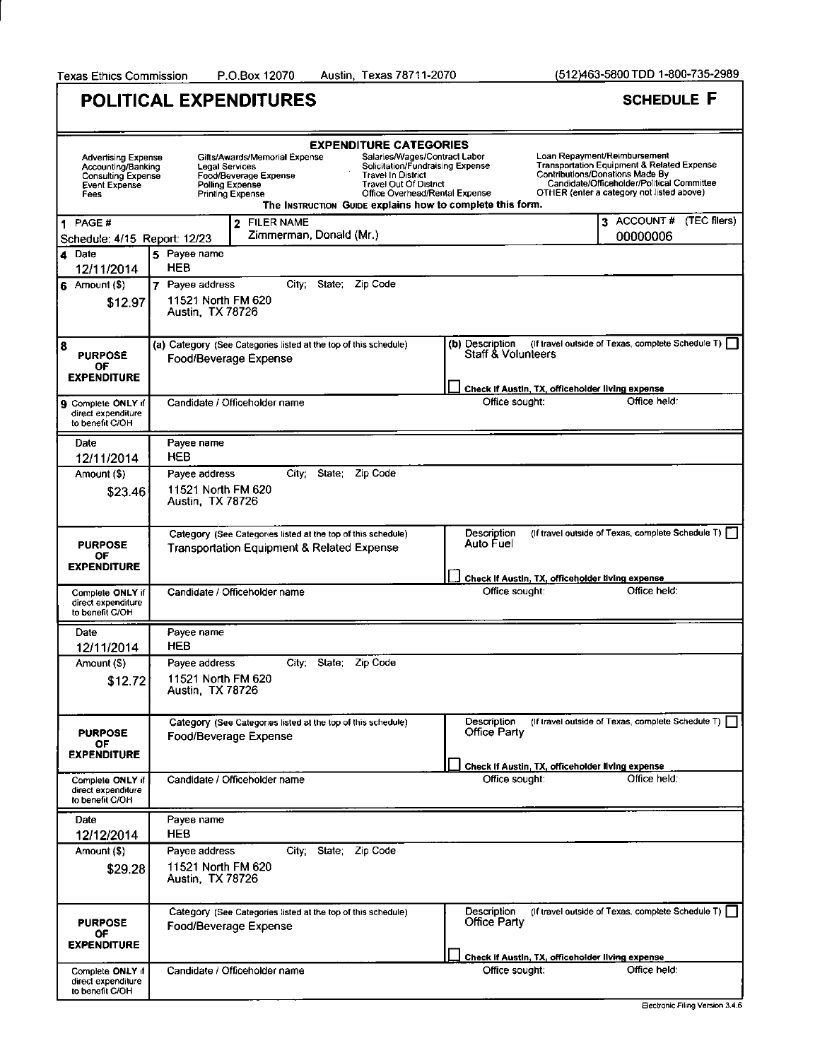Austin, Texas 78711-2070

|                                                                                                        | POLITICAL EXPENDITURES                                                                                                                                                                                                                                                      | <b>SCHEDULE F</b>                                                                                                                                                                                                                                                                                                                 |  |
|--------------------------------------------------------------------------------------------------------|-----------------------------------------------------------------------------------------------------------------------------------------------------------------------------------------------------------------------------------------------------------------------------|-----------------------------------------------------------------------------------------------------------------------------------------------------------------------------------------------------------------------------------------------------------------------------------------------------------------------------------|--|
| <b>Advertising Expense</b><br>Accounting/Banking<br><b>Consulting Expense</b><br>Event Expense<br>Fees | <b>EXPENDITURE CATEGORIES</b><br>Gifts/Awards/Memorial Expense<br>Legal Services<br><b>Travel In District</b><br>Food/Beverage Expense<br><b>Travel Out Of District</b><br>Polling Expense<br>Printing Expense<br>The INSTRUCTION GUIDE explains how to complete this form. | Loan Repayment/Reimbursement<br>Salaries/Wages/Contract Labor<br>Solicitation/Fundraising Expense<br><b>Transportation Equipment &amp; Related Expense</b><br><b>Contributions/Donations Made By</b><br>Candidate/Officeholder/Political Committee<br>Office Overhead/Rental Expense<br>OTHER (enter a category not listed above) |  |
| 1 PAGE #<br>Schedule: 4/15 Report: 12/23                                                               | 2 FILER NAME<br>Zimmerman, Donald (Mr.)                                                                                                                                                                                                                                     | 3 ACCOUNT#<br>(TEC filers)<br>00000006                                                                                                                                                                                                                                                                                            |  |
| 4 Date<br>12/11/2014                                                                                   | 5 Payee name<br>HEB                                                                                                                                                                                                                                                         |                                                                                                                                                                                                                                                                                                                                   |  |
| $6$ Amount (\$)<br>\$12.97                                                                             | 7 Payee address<br>City: State: Zip Code<br>11521 North FM 620<br>Austin, TX 78726                                                                                                                                                                                          |                                                                                                                                                                                                                                                                                                                                   |  |
| 8<br><b>PURPOSE</b><br>ОF<br><b>EXPENDITURE</b>                                                        | (a) Category (See Categories listed at the top of this schedule)<br>Food/Beverage Expense                                                                                                                                                                                   | (If travel outside of Texas, complete Schedule T) [<br>(b) Description<br>Staff & Volunteers                                                                                                                                                                                                                                      |  |
| <b>9</b> Complete ONLY if<br>direct expenditure<br>to benefit C/OH                                     | Candidate / Officeholder name                                                                                                                                                                                                                                               | Check If Austin, TX, officeholder living expense<br>Office held:<br>Office sought:                                                                                                                                                                                                                                                |  |
| Date<br>12/11/2014                                                                                     | Payee name<br>HEB                                                                                                                                                                                                                                                           |                                                                                                                                                                                                                                                                                                                                   |  |
| Amount (\$)                                                                                            | Payee address<br>City;<br>State; Zip Code                                                                                                                                                                                                                                   |                                                                                                                                                                                                                                                                                                                                   |  |
| \$23.46                                                                                                | 11521 North FM 620<br>Austin, TX 78726                                                                                                                                                                                                                                      |                                                                                                                                                                                                                                                                                                                                   |  |
| <b>PURPOSE</b><br>OF<br>EXPENDITURE                                                                    | Category (See Categories listed at the top of this schedule)<br><b>Transportation Equipment &amp; Related Expense</b>                                                                                                                                                       | (If travel outside of Texas, complete Schedule T) [<br>Description<br>Auto Fuel                                                                                                                                                                                                                                                   |  |
| Complete ONLY if<br>direct expenditure<br>to benefit C/OH                                              | Candidate / Officeholder name                                                                                                                                                                                                                                               | Check If Austin, TX, officeholder living expense<br>Office held:<br>Office sought:                                                                                                                                                                                                                                                |  |
| Date                                                                                                   | Payee name<br>HEB                                                                                                                                                                                                                                                           |                                                                                                                                                                                                                                                                                                                                   |  |
| 12/11/2014<br>Amount (\$)                                                                              | Payee address<br>State:<br>Zip Code<br>City,                                                                                                                                                                                                                                |                                                                                                                                                                                                                                                                                                                                   |  |
| \$12.72                                                                                                | 11521 North FM 620<br>Austin, TX 78726                                                                                                                                                                                                                                      |                                                                                                                                                                                                                                                                                                                                   |  |
| <b>PURPOSE</b><br>OF.<br><b>EXPENDITURE</b>                                                            | Category (See Categories listed at the top of this schedule)<br>Food/Beverage Expense                                                                                                                                                                                       | (If travel outside of Texas, complete Schedule T)  <br>Description<br><b>Office Party</b>                                                                                                                                                                                                                                         |  |
| Complete ONLY if<br>direct expenditure<br>to benefit C/OH                                              | Candidate / Officeholder name                                                                                                                                                                                                                                               | Check If Austin, TX, officeholder living expense<br>Office sought:<br>Office held:                                                                                                                                                                                                                                                |  |
| Date                                                                                                   | Payee name                                                                                                                                                                                                                                                                  |                                                                                                                                                                                                                                                                                                                                   |  |
| 12/12/2014<br>Amount (\$)                                                                              | HEB<br>City; State; Zip Code<br>Payee address                                                                                                                                                                                                                               |                                                                                                                                                                                                                                                                                                                                   |  |
| \$29.28                                                                                                | 11521 North FM 620<br>Austin, TX 78726                                                                                                                                                                                                                                      |                                                                                                                                                                                                                                                                                                                                   |  |
| PURPOSE<br>OF                                                                                          | Category (See Categories listed at the top of this schedule)<br>Food/Beverage Expense                                                                                                                                                                                       | (If travel outside of Texas, complete Schedule T)  <br>Description<br><b>Office Party</b>                                                                                                                                                                                                                                         |  |
| <b>EXPENDITURE</b><br>Complete ONLY if<br>direct expenditure<br>to benefit C/OH                        | Candidate / Officeholder name                                                                                                                                                                                                                                               | Check if Austin, TX, officeholder living expense<br>Office held:<br>Office sought:                                                                                                                                                                                                                                                |  |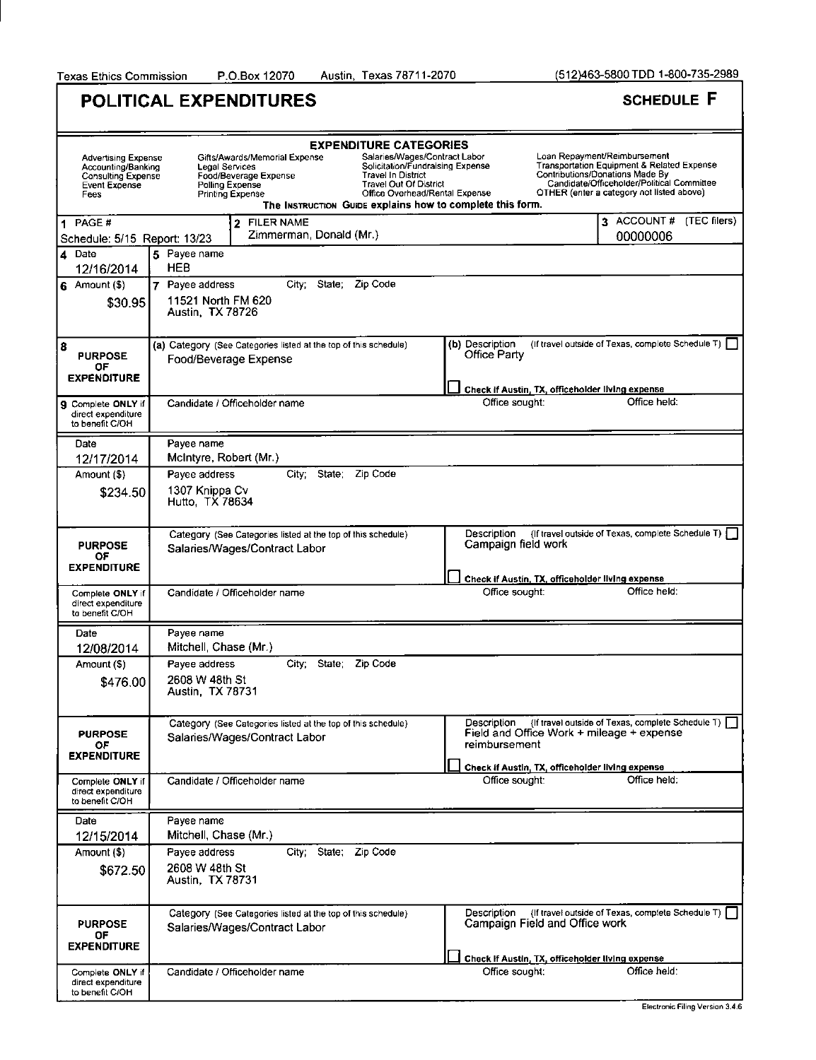Austin, Texas 78711-2070

(512)463-5800 TDD 1-800-735-2989

٦

|                                                                                                        | <b>POLITICAL EXPENDITURES</b>                                                                                                                                                                                                                                               | <b>SCHEDULE F</b>                                                                                                                                                                                                                                                                                                          |
|--------------------------------------------------------------------------------------------------------|-----------------------------------------------------------------------------------------------------------------------------------------------------------------------------------------------------------------------------------------------------------------------------|----------------------------------------------------------------------------------------------------------------------------------------------------------------------------------------------------------------------------------------------------------------------------------------------------------------------------|
|                                                                                                        |                                                                                                                                                                                                                                                                             |                                                                                                                                                                                                                                                                                                                            |
| <b>Advertising Expense</b><br>Accounting/Banking<br><b>Consulting Expense</b><br>Event Expense<br>Fees | <b>EXPENDITURE CATEGORIES</b><br>Gifts/Awards/Memorial Expense<br>Legal Services<br><b>Travel In District</b><br>Food/Beverage Expense<br>Travel Out Of District<br>Polling Expense<br><b>Printing Expense</b><br>The INSTRUCTION GUIDE explains how to complete this form. | Loan Repayment/Reimbursement<br>Salaries/Wages/Contract Labor<br>Solicitation/Fundraising Expense<br><b>Transportation Equipment &amp; Related Expense</b><br>Contributions/Donations Made By<br>Candidate/Officeholder/Political Committee<br>OTHER (enter a category not listed above)<br>Office Overhead/Rental Expense |
| 1 PAGE#<br>Schedule: 5/15 Report: 13/23                                                                | 2 FILER NAME<br>Zimmerman, Donald (Mr.)                                                                                                                                                                                                                                     | 3 ACCOUNT#<br>$(TEC$ filers)<br>00000006                                                                                                                                                                                                                                                                                   |
| 4 Date<br>12/16/2014                                                                                   | 5 Payee name<br><b>HEB</b>                                                                                                                                                                                                                                                  |                                                                                                                                                                                                                                                                                                                            |
| $6$ Amount (\$)<br>\$30.95                                                                             | 7 Payee address<br>City: State: Zip Code<br>11521 North FM 620<br>Austin, TX 78726                                                                                                                                                                                          |                                                                                                                                                                                                                                                                                                                            |
| 8<br><b>PURPOSE</b><br>OF<br><b>EXPENDITURE</b>                                                        | (a) Category (See Categories listed at the top of this schedule)<br>Food/Beverage Expense                                                                                                                                                                                   | (If travel outside of Texas, complete Schedule T)  <br>(b) Description<br>Office Party                                                                                                                                                                                                                                     |
|                                                                                                        | Candidate / Officeholder name                                                                                                                                                                                                                                               | Check if Austin, TX, officeholder living expense<br>Office held:<br>Office sought:                                                                                                                                                                                                                                         |
| 9 Complete ONLY if<br>direct expenditure<br>to benefit C/OH                                            |                                                                                                                                                                                                                                                                             |                                                                                                                                                                                                                                                                                                                            |
| Date                                                                                                   | Payee name                                                                                                                                                                                                                                                                  |                                                                                                                                                                                                                                                                                                                            |
| 12/17/2014                                                                                             | McIntyre, Robert (Mr.)<br>Zip Code<br><b>State</b><br>Payee address<br>City:                                                                                                                                                                                                |                                                                                                                                                                                                                                                                                                                            |
| Amount (\$)<br>\$234.50                                                                                | 1307 Knippa Cv<br>Hutto, TX 78634                                                                                                                                                                                                                                           |                                                                                                                                                                                                                                                                                                                            |
| <b>PURPOSE</b><br>ОF                                                                                   | Category (See Categories listed at the top of this schedule)<br>Salaries/Wages/Contract Labor                                                                                                                                                                               | (If travel outside of Texas, complete Schedule T) $\begin{bmatrix} \end{bmatrix}$<br>Description<br>Campaign field work                                                                                                                                                                                                    |
| <b>EXPENDITURE</b>                                                                                     |                                                                                                                                                                                                                                                                             | Check if Austin, TX, officeholder living expense                                                                                                                                                                                                                                                                           |
| Complete ONLY if<br>direct expenditure<br>to benefit C/OH                                              | Candidate / Officeholder name                                                                                                                                                                                                                                               | Office held:<br>Office sought:                                                                                                                                                                                                                                                                                             |
| Date                                                                                                   | Payee name                                                                                                                                                                                                                                                                  |                                                                                                                                                                                                                                                                                                                            |
| 12/08/2014                                                                                             | Mitchell, Chase (Mr.)                                                                                                                                                                                                                                                       |                                                                                                                                                                                                                                                                                                                            |
| Amount (\$)<br>\$476.00                                                                                | State.<br>Zip Code<br>Payee address<br>City,<br>2608 W 48th St<br>Austin, TX 78731                                                                                                                                                                                          |                                                                                                                                                                                                                                                                                                                            |
| <b>PURPOSE</b><br>OF.<br><b>EXPENDITURE</b>                                                            | Category (See Categories listed at the top of this schedule)<br>Salaries/Wages/Contract Labor                                                                                                                                                                               | (If travel outside of Texas, complete Schedule T)<br>Description<br>Field and Office Work + mileage + expense<br>reimbursement                                                                                                                                                                                             |
| Complete ONLY if<br>direct expenditure<br>to benefit C/OH                                              | Candidate / Officeholder name                                                                                                                                                                                                                                               | Check if Austin, TX, officeholder living expense<br>Office held:<br>Office sought:                                                                                                                                                                                                                                         |
| Date                                                                                                   | Payee name                                                                                                                                                                                                                                                                  |                                                                                                                                                                                                                                                                                                                            |
| 12/15/2014                                                                                             | Mitchell, Chase (Mr.)                                                                                                                                                                                                                                                       |                                                                                                                                                                                                                                                                                                                            |
| Amount (\$)<br>\$672.50                                                                                | City: State; Zip Code<br>Pavee address<br>2608 W 48th St<br>Austin, TX 78731                                                                                                                                                                                                |                                                                                                                                                                                                                                                                                                                            |
| <b>PURPOSE</b><br>OF<br><b>EXPENDITURE</b>                                                             | Category (See Categories listed at the top of this schedule)<br>Salaries/Wages/Contract Labor                                                                                                                                                                               | Description<br>(If travel outside of Texas, complete Schedule T) [<br>Campaign Field and Office work                                                                                                                                                                                                                       |
|                                                                                                        |                                                                                                                                                                                                                                                                             | Check If Austin, TX, officeholder living expense                                                                                                                                                                                                                                                                           |
| Complete ONLY if<br>direct expenditure<br>to benefit C/OH                                              | Candidate / Officeholder name                                                                                                                                                                                                                                               | Office held:<br>Office sought:                                                                                                                                                                                                                                                                                             |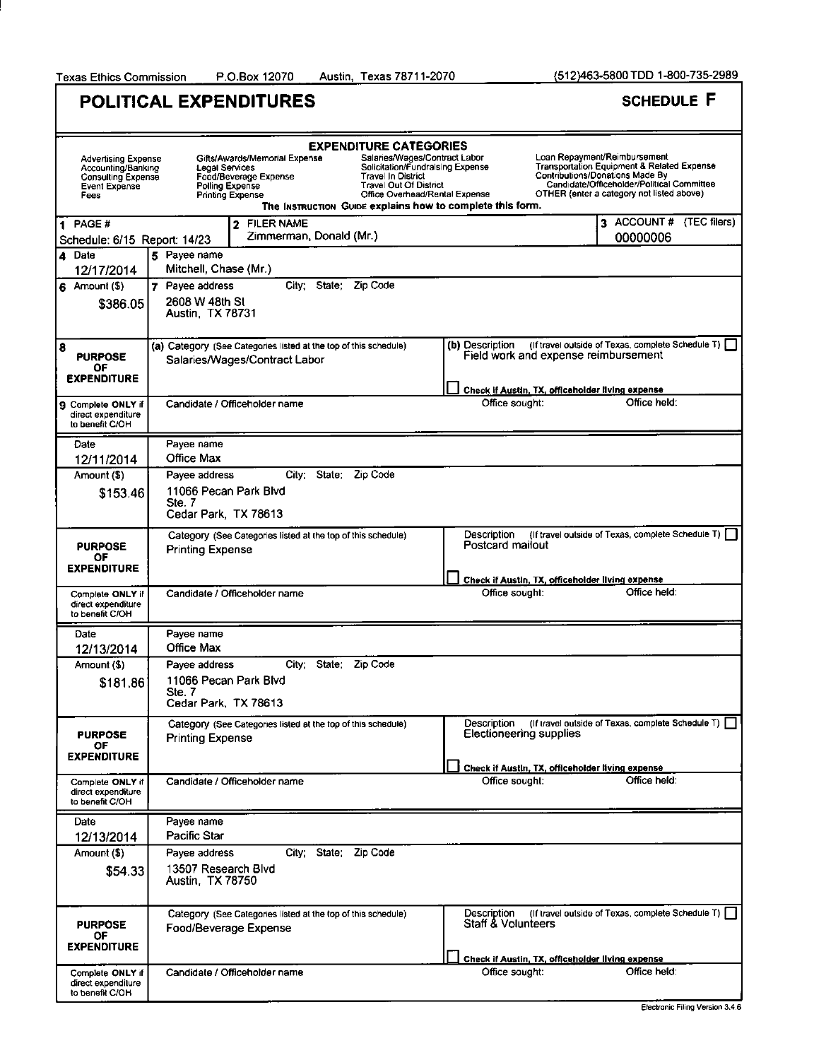Texas Ethics Commission P.O.Box 12070 Austin, Texas 78711-2070 (512)463-5800 TDD 1-800-735-2989

|                                                                                                        | <b>POLITICAL EXPENDITURES</b>                                                                                                                                                                                                                                                                                                                                                      |                                               | <b>SCHEDULE F</b>                                                                                                                                                                                        |
|--------------------------------------------------------------------------------------------------------|------------------------------------------------------------------------------------------------------------------------------------------------------------------------------------------------------------------------------------------------------------------------------------------------------------------------------------------------------------------------------------|-----------------------------------------------|----------------------------------------------------------------------------------------------------------------------------------------------------------------------------------------------------------|
| <b>Advertising Expense</b><br>Accounting/Banking<br><b>Consulting Expense</b><br>Event Expense<br>Fees | <b>EXPENDITURE CATEGORIES</b><br>Salaries/Wages/Contract Labor<br>Gifts/Awards/Memorial Expense<br>Solicitation/Fundraising Expense<br>Legal Services<br>Travel In District<br>Food/Beverage Expense<br><b>Travel Out Of District</b><br>Polling Expense<br>Office Overhead/Rental Expense<br><b>Printing Expense</b><br>The INSTRUCTION GUIDE explains how to complete this form. |                                               | Loan Repayment/Reimbursement<br>Transportation Equipment & Related Expense<br>Contributions/Donations Made By<br>Candidate/Officeholder/Political Committee<br>OTHER (enter a category not listed above) |
| PAGE #<br>Schedule: 6/15 Report: 14/23                                                                 | 2 FILER NAME<br>Zimmerman, Donald (Mr.)                                                                                                                                                                                                                                                                                                                                            |                                               | 3 ACCOUNT # (TEC filers)<br>00000006                                                                                                                                                                     |
| $\overline{\bf{4}}$<br>Date<br>12/17/2014                                                              | 5 Payee name<br>Mitchell, Chase (Mr.)                                                                                                                                                                                                                                                                                                                                              |                                               |                                                                                                                                                                                                          |
| $6$ Amount (\$)<br>\$386.05                                                                            | City: State:<br>Zip Code<br>7 Payee address<br>2608 W 48th St<br><b>Austin, TX 78731</b>                                                                                                                                                                                                                                                                                           |                                               |                                                                                                                                                                                                          |
| $\overline{\mathbf{8}}$<br><b>PURPOSE</b><br>OF<br><b>EXPENDITURE</b>                                  | (a) Category (See Categories listed at the top of this schedule)<br>Salaries/Wages/Contract Labor                                                                                                                                                                                                                                                                                  | (b) Description                               | (If travel outside of Texas, complete Schedule T) [<br>Field work and expense reimbursement                                                                                                              |
| ۱g<br>Complete ONLY if<br>direct expenditure<br>to benefit C/OH                                        | Candidate / Officeholder name                                                                                                                                                                                                                                                                                                                                                      | Office sought:                                | Check if Austin, TX, officeholder living expense<br>Office held:                                                                                                                                         |
| Date<br>12/11/2014                                                                                     | Payee name<br>Office Max                                                                                                                                                                                                                                                                                                                                                           |                                               |                                                                                                                                                                                                          |
| Amount (\$)<br>\$153.46                                                                                | City; State; Zip Code<br>Payee address<br>11066 Pecan Park Blvd<br>Ste. 7<br>Cedar Park, TX 78613                                                                                                                                                                                                                                                                                  |                                               |                                                                                                                                                                                                          |
| <b>PURPOSE</b><br>ОF<br><b>EXPENDITURE</b>                                                             | Category (See Categories listed at the top of this schedule)<br><b>Printing Expense</b>                                                                                                                                                                                                                                                                                            | Description<br>Postcard mailout               | (If travel outside of Texas, complete Schedule T) [                                                                                                                                                      |
| Complete ONLY if<br>direct expenditure<br>to benefit C/OH                                              | Candidate / Officeholder name                                                                                                                                                                                                                                                                                                                                                      | Office sought:                                | Check if Austin, TX, officeholder living expense<br>Office held:                                                                                                                                         |
| Date<br>12/13/2014                                                                                     | Payee name<br>Office Max                                                                                                                                                                                                                                                                                                                                                           |                                               |                                                                                                                                                                                                          |
| Amount (\$)<br>\$181.86                                                                                | State:<br>Payee address<br>City;<br>Zip Code<br>11066 Pecan Park Blvd<br>Ste 7<br>Cedar Park, TX 78613                                                                                                                                                                                                                                                                             |                                               |                                                                                                                                                                                                          |
| <b>PURPOSE</b><br>OF<br><b>EXPENDITURE</b>                                                             | Category (See Categories listed at the top of this schedule)<br><b>Printing Expense</b>                                                                                                                                                                                                                                                                                            | Description<br><b>Electioneering supplies</b> | (If travel outside of Texas, complete Schedule T)                                                                                                                                                        |
| Complete ONLY if<br>direct expenditure<br>to benefit C/OH                                              | Candidate / Officeholder name                                                                                                                                                                                                                                                                                                                                                      | Office sought:                                | Check if Austin, TX, officeholder living expense<br>Office held:                                                                                                                                         |
| Date<br>12/13/2014                                                                                     | Payee name<br>Pacific Star                                                                                                                                                                                                                                                                                                                                                         |                                               |                                                                                                                                                                                                          |
| Amount (\$)<br>\$54.33                                                                                 | City; State; Zip Code<br>Payee address<br>13507 Research Blvd<br>Austin, TX 78750                                                                                                                                                                                                                                                                                                  |                                               |                                                                                                                                                                                                          |
| <b>PURPOSE</b><br>ОF<br><b>EXPENDITURE</b>                                                             | Category (See Categories listed at the top of this schedule)<br>Food/Beverage Expense                                                                                                                                                                                                                                                                                              | Description<br><b>Staff &amp; Volunteers</b>  | (If travel outside of Texas, complete Schedule T)                                                                                                                                                        |
| Complete ONLY if<br>direct expenditure<br>to benefit C/OH                                              | Candidate / Officeholder name                                                                                                                                                                                                                                                                                                                                                      | Office sought:                                | Check if Austin, TX, officeholder living expense<br>Office held:                                                                                                                                         |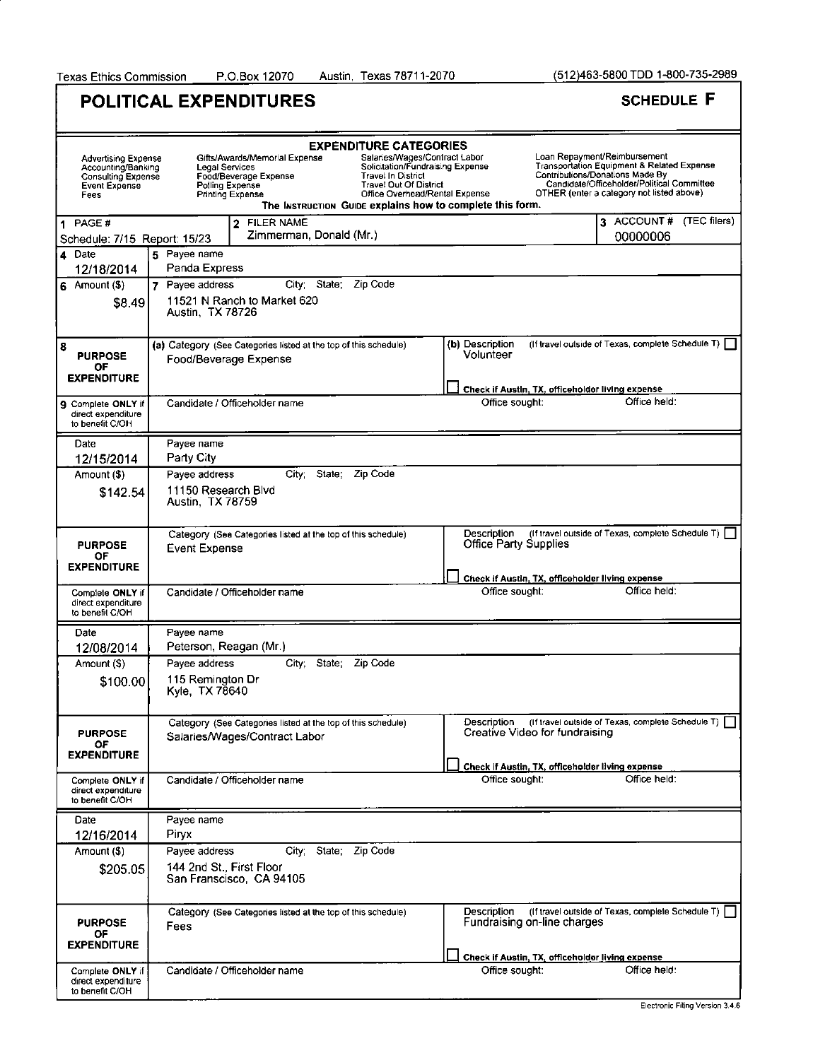Austin, Texas 78711-2070

(512)463-5800 TDD 1-800-735-2989

٦

|                                                                                                               | <b>POLITICAL EXPENDITURES</b>                                                                                                                           |                                                                                                                                                                                                                                | <b>SCHEDULE F</b>                                                                                                                                                                                        |
|---------------------------------------------------------------------------------------------------------------|---------------------------------------------------------------------------------------------------------------------------------------------------------|--------------------------------------------------------------------------------------------------------------------------------------------------------------------------------------------------------------------------------|----------------------------------------------------------------------------------------------------------------------------------------------------------------------------------------------------------|
| <b>Advertising Expense</b><br>Accounting/Banking<br><b>Consulting Expense</b><br><b>Event Expense</b><br>Fees | <b>EXPENDITURE CATEGORIES</b><br>Gifts/Awards/Memorial Expense<br>Legal Services<br>Food/Beverage Expense<br>Polling Expense<br><b>Printing Expense</b> | Salaries/Wages/Contract Labor<br>Solicitation/Fundraising Expense<br><b>Travel In District</b><br><b>Travel Out Of District</b><br>Office Overhead/Rental Expense<br>The INSTRUCTION GUIDE explains how to complete this form. | Loan Repayment/Reimbursement<br>Transportation Equipment & Related Expense<br>Contributions/Donations Made By<br>Candidate/Officeholder/Political Committee<br>OTHER (enter a category not listed above) |
| 1 PAGE#<br>Schedule: 7/15 Report: 15/23                                                                       | 2 FILER NAME<br>Zimmerman, Donald (Mr.)                                                                                                                 |                                                                                                                                                                                                                                | 3 ACCOUNT#<br>(TEC filers)<br>00000006                                                                                                                                                                   |
| 4 Date<br>12/18/2014                                                                                          | 5 Payee name<br>Panda Express                                                                                                                           |                                                                                                                                                                                                                                |                                                                                                                                                                                                          |
| $6$ Amount (\$)<br>\$8.49                                                                                     | <b>City</b><br>State:<br>Zip Code<br>Payee address<br>11521 N Ranch to Market 620<br>Austin, TX 78726                                                   |                                                                                                                                                                                                                                |                                                                                                                                                                                                          |
| 8<br><b>PURPOSE</b><br>OF<br><b>EXPENDITURE</b>                                                               | (a) Category (See Categories listed at the top of this schedule)<br>Food/Beverage Expense                                                               | (b) Description<br>Volunteer                                                                                                                                                                                                   | (If travel outside of Texas, complete Schedule T)                                                                                                                                                        |
|                                                                                                               |                                                                                                                                                         |                                                                                                                                                                                                                                | Check if Austin, TX, officeholder living expense                                                                                                                                                         |
| <b>9</b> Complete ONLY if<br>direct expenditure<br>to benefit C/OH                                            | Candidate / Officeholder name                                                                                                                           | Office sought:                                                                                                                                                                                                                 | Office held:                                                                                                                                                                                             |
| Date                                                                                                          | Payee name                                                                                                                                              |                                                                                                                                                                                                                                |                                                                                                                                                                                                          |
| 12/15/2014<br>Amount (\$)                                                                                     | Party City<br>State:<br>Zip Code<br>City:<br>Payee address                                                                                              |                                                                                                                                                                                                                                |                                                                                                                                                                                                          |
| \$142.54                                                                                                      | 11150 Research Blvd<br>Austin, TX 78759                                                                                                                 |                                                                                                                                                                                                                                |                                                                                                                                                                                                          |
| <b>PURPOSE</b><br>ОF                                                                                          | Category (See Categories listed at the top of this schedule)<br><b>Event Expense</b>                                                                    | Description<br><b>Office Party Supplies</b>                                                                                                                                                                                    | (If travel outside of Texas, complete Schedule T)                                                                                                                                                        |
| <b>EXPENDITURE</b>                                                                                            |                                                                                                                                                         |                                                                                                                                                                                                                                | Check if Austin, TX, officeholder living expense                                                                                                                                                         |
| Complete ONLY if<br>direct expenditure<br>to benefit C/OH                                                     | Candidate / Officeholder name                                                                                                                           | Office sought:                                                                                                                                                                                                                 | Office held:                                                                                                                                                                                             |
| Date                                                                                                          | Payee name                                                                                                                                              |                                                                                                                                                                                                                                |                                                                                                                                                                                                          |
| 12/08/2014                                                                                                    | Peterson, Reagan (Mr.)                                                                                                                                  |                                                                                                                                                                                                                                |                                                                                                                                                                                                          |
| Amount (\$)<br>\$100.00                                                                                       | Payee address<br>State:<br>Zip Code<br>City,<br>115 Remington Dr<br>Kyle, TX 78640                                                                      |                                                                                                                                                                                                                                |                                                                                                                                                                                                          |
| <b>PURPOSE</b><br>ОF<br>EXPENDITURE                                                                           | Category (See Categories listed at the top of this schedule)<br>Salaries/Wages/Contract Labor                                                           | Description<br>Creative Video for fundraising                                                                                                                                                                                  | (If travel outside of Texas, complete Schedule T)                                                                                                                                                        |
| Complete ONLY if<br>direct expenditure<br>to benefit C/OH                                                     | Candidate / Officeholder name                                                                                                                           | Office sought:                                                                                                                                                                                                                 | Check if Austin, TX, officeholder living expense<br>Office held:                                                                                                                                         |
| Date                                                                                                          | Payee name                                                                                                                                              |                                                                                                                                                                                                                                |                                                                                                                                                                                                          |
| 12/16/2014                                                                                                    | Piryx                                                                                                                                                   |                                                                                                                                                                                                                                |                                                                                                                                                                                                          |
| Amount (\$)                                                                                                   | Zip Code<br>City; State;<br>Payee address                                                                                                               |                                                                                                                                                                                                                                |                                                                                                                                                                                                          |
| \$205.05                                                                                                      | 144 2nd St., First Floor<br>San Franscisco, CA 94105                                                                                                    |                                                                                                                                                                                                                                |                                                                                                                                                                                                          |
| <b>PURPOSE</b><br>OF                                                                                          | Category (See Categories listed at the top of this schedule)<br>Fees                                                                                    | Description<br>Fundraising on-line charges                                                                                                                                                                                     | (If travel outside of Texas, complete Schedule T)                                                                                                                                                        |
| <b>EXPENDITURE</b>                                                                                            |                                                                                                                                                         |                                                                                                                                                                                                                                | Check if Austin, TX, officeholder living expense                                                                                                                                                         |
| Complete ONLY if<br>direct expenditure<br>to benefit C/OH                                                     | Candidate / Officeholder name                                                                                                                           | Office sought:                                                                                                                                                                                                                 | Office held:                                                                                                                                                                                             |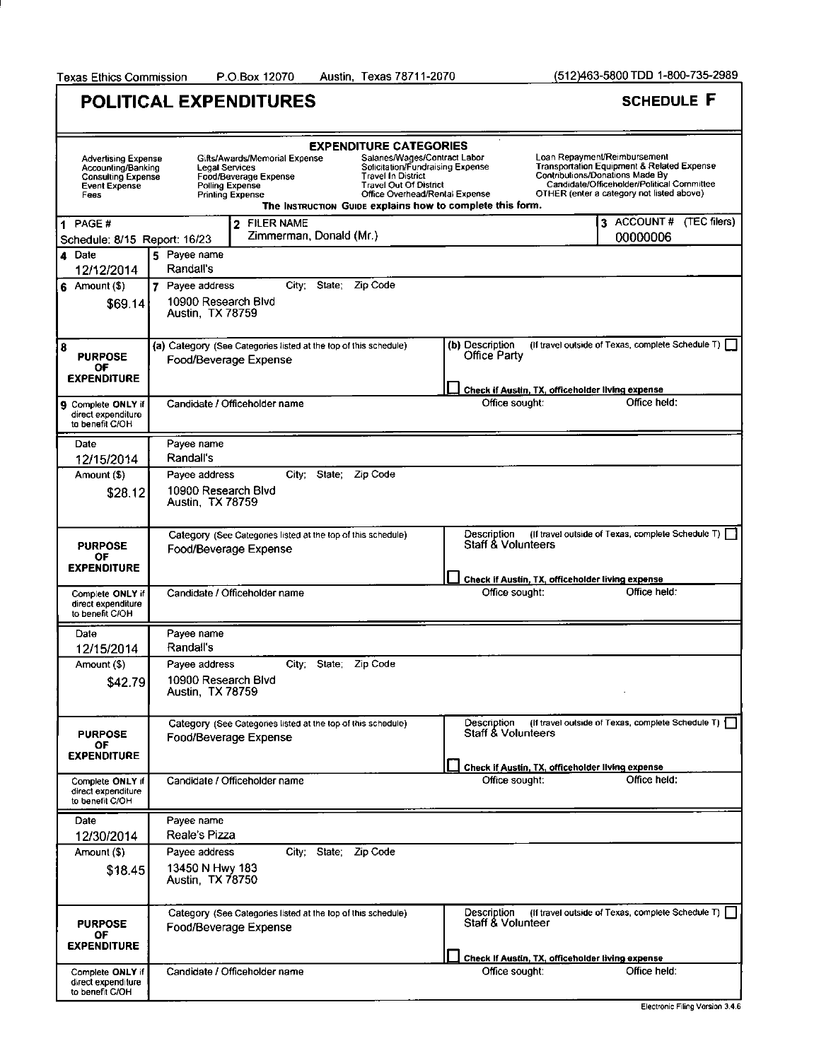(512)463-5800 TDD 1-800-735-2989

ĭ

|                                                                                                        | POLITICAL EXPENDITURES                                                                                                                                                                                                                                                                                                                                                                    |                                                                                      | <b>SCHEDULE F</b>                                                                                                                                                                                                   |
|--------------------------------------------------------------------------------------------------------|-------------------------------------------------------------------------------------------------------------------------------------------------------------------------------------------------------------------------------------------------------------------------------------------------------------------------------------------------------------------------------------------|--------------------------------------------------------------------------------------|---------------------------------------------------------------------------------------------------------------------------------------------------------------------------------------------------------------------|
| <b>Advertising Expense</b><br>Accounting/Banking<br><b>Consulting Expense</b><br>Event Expense<br>Fees | <b>EXPENDITURE CATEGORIES</b><br>Salaries/Wages/Contract Labor<br>Gifts/Awards/Memorial Expense<br>Solicitation/Fundraising Expense<br>Legal Services<br><b>Travel In District</b><br>Food/Beverage Expense<br><b>Travel Out Of District</b><br>Polling Expense<br>Office Overhead/Rental Expense<br><b>Printing Expense</b><br>The INSTRUCTION GUIDE explains how to complete this form. |                                                                                      | Loan Repayment/Reimbursement<br><b>Transportation Equipment &amp; Related Expense</b><br>Contributions/Donations Made By<br>Candidate/Officeholder/Political Committee<br>OTHER (enter a category not listed above) |
| 1 PAGE#<br>Schedule: 8/15 Report: 16/23                                                                | 2 FILER NAME<br>Zimmerman, Donald (Mr.)                                                                                                                                                                                                                                                                                                                                                   |                                                                                      | 3 ACCOUNT# (TEC filers)<br>00000006                                                                                                                                                                                 |
| 4 Date<br>12/12/2014                                                                                   | 5 Payee name<br>Randall's                                                                                                                                                                                                                                                                                                                                                                 |                                                                                      |                                                                                                                                                                                                                     |
| $6$ Amount (\$)<br>\$69.14]                                                                            | State;<br>Zip Code<br>7 Payee address<br>City:<br>10900 Research Blvd<br>Austin, TX 78759                                                                                                                                                                                                                                                                                                 |                                                                                      |                                                                                                                                                                                                                     |
| 8<br><b>PURPOSE</b><br>ОF<br><b>EXPENDITURE</b>                                                        | (a) Category (See Categories listed at the top of this schedule)<br>Food/Beverage Expense                                                                                                                                                                                                                                                                                                 | (b) Description<br>Office Party                                                      | (If travel outside of Texas, complete Schedule T)                                                                                                                                                                   |
| 9 Complete ONLY if<br>direct expenditure<br>to benefit C/OH                                            | Candidate / Officeholder name                                                                                                                                                                                                                                                                                                                                                             | Check if Austin, TX, officeholder living expense<br>Office sought:                   | Office held:                                                                                                                                                                                                        |
| Date                                                                                                   | Payee name                                                                                                                                                                                                                                                                                                                                                                                |                                                                                      |                                                                                                                                                                                                                     |
| 12/15/2014<br>Amount (\$)                                                                              | Randall's<br>City; State; Zip Code<br>Payee address                                                                                                                                                                                                                                                                                                                                       |                                                                                      |                                                                                                                                                                                                                     |
| \$28.12                                                                                                | 10900 Research Blvd<br>Austin, TX 78759                                                                                                                                                                                                                                                                                                                                                   |                                                                                      |                                                                                                                                                                                                                     |
| <b>PURPOSE</b><br>ОF<br><b>EXPENDITURE</b>                                                             | Category (See Categories listed at the top of this schedule)<br>Food/Beverage Expense                                                                                                                                                                                                                                                                                                     | Description<br><b>Staff &amp; Volunteers</b>                                         | (If travel outside of Texas, complete Schedule T)                                                                                                                                                                   |
| Complete ONLY if<br>direct expenditure<br>to benefit C/OH                                              | Candidate / Officeholder name                                                                                                                                                                                                                                                                                                                                                             | Check if Austin, TX, officeholder living expense<br>Office sought:                   | Office held:                                                                                                                                                                                                        |
| Date<br>12/15/2014                                                                                     | Payee name<br>Randall's                                                                                                                                                                                                                                                                                                                                                                   |                                                                                      |                                                                                                                                                                                                                     |
| Amount (\$)<br>\$42.79                                                                                 | Payee address<br>City; State; Zip Code<br>10900 Research Blvd<br>Austin, TX 78759                                                                                                                                                                                                                                                                                                         |                                                                                      |                                                                                                                                                                                                                     |
| <b>PURPOSE</b><br>OF<br><b>EXPENDITURE</b>                                                             | Category (See Categories listed at the top of this schedule)<br>Food/Beverage Expense                                                                                                                                                                                                                                                                                                     | Description<br>Staff & Volunteers                                                    | (If travel outside of Texas, complete Schedule T)                                                                                                                                                                   |
| Complete ONLY if<br>direct expenditure<br>to benefit C/OH                                              | Candidate / Officeholder name                                                                                                                                                                                                                                                                                                                                                             | Check if Austin, TX, officeholder living expense<br>Office sought:                   | Office held:                                                                                                                                                                                                        |
| Date<br>12/30/2014                                                                                     | Payee name<br>Reale's Pizza                                                                                                                                                                                                                                                                                                                                                               |                                                                                      |                                                                                                                                                                                                                     |
| Amount (\$)<br>\$18.45                                                                                 | Payee address<br>City; State; Zip Code<br>13450 N Hwy 183<br>Austin, TX 78750                                                                                                                                                                                                                                                                                                             |                                                                                      |                                                                                                                                                                                                                     |
| <b>PURPOSE</b><br>ΟF<br><b>EXPENDITURE</b>                                                             | Category (See Categories listed at the top of this schedule)<br>Food/Beverage Expense                                                                                                                                                                                                                                                                                                     | Description<br>Staff & Volunteer<br>Check If Austin, TX, officeholder living expense | (if travel outside of Texas, complete Schedule T)                                                                                                                                                                   |
| Complete ONLY if<br>direct expenditure<br>to benefit C/OH                                              | Candidate / Officeholder name                                                                                                                                                                                                                                                                                                                                                             | Office sought:                                                                       | Office held:<br>Electronic Filing Version 3.4.6                                                                                                                                                                     |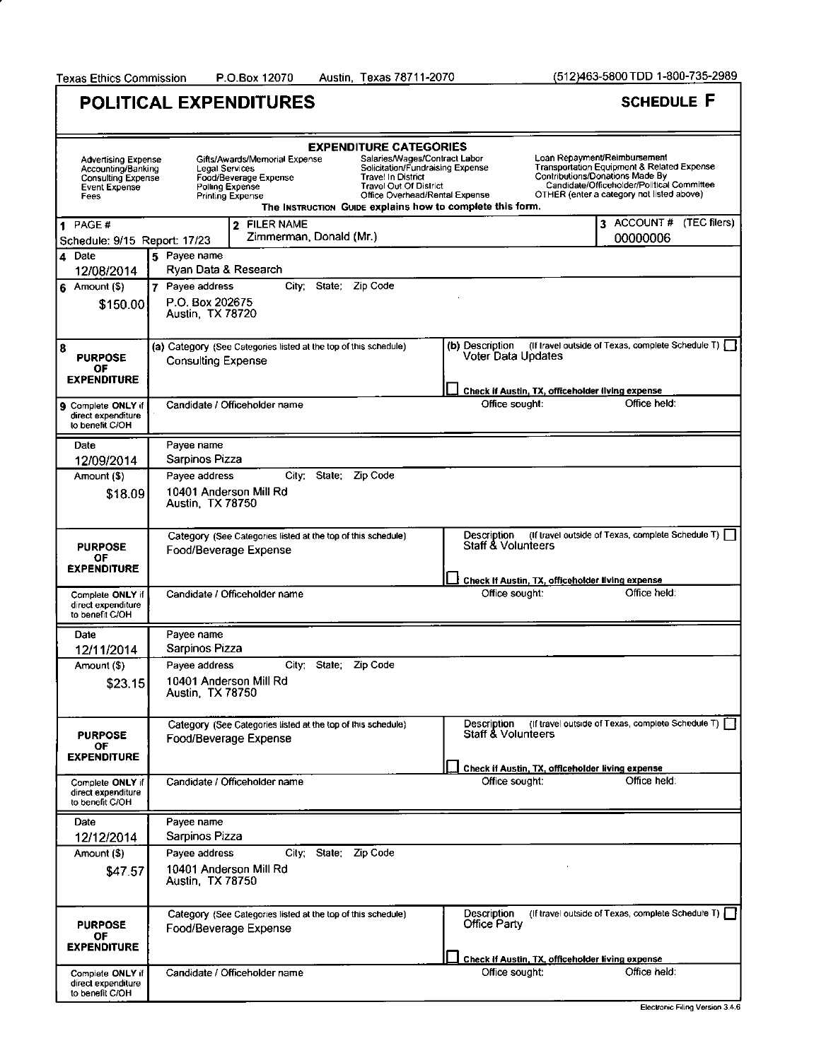Austin, Texas 78711-2070

|                                                                                                        | POLITICAL EXPENDITURES                                                                                                                                                        |                                                                                                                                                                                                   | <b>SCHEDULE F</b>                                                                                                                                                                                                          |
|--------------------------------------------------------------------------------------------------------|-------------------------------------------------------------------------------------------------------------------------------------------------------------------------------|---------------------------------------------------------------------------------------------------------------------------------------------------------------------------------------------------|----------------------------------------------------------------------------------------------------------------------------------------------------------------------------------------------------------------------------|
| <b>Advertising Expense</b><br>Accounting/Banking<br><b>Consulting Expense</b><br>Event Expense<br>Fees | <b>EXPENDITURE CATEGORIES</b><br>Gifts/Awards/Memorial Expense<br>Legal Services<br><b>Travel In District</b><br>Food/Beverage Expense<br>Polling Expense<br>Printing Expense | Salaries/Wages/Contract Labor<br>Solicitation/Fundraising Expense<br><b>Travel Out Of District</b><br>Office Overhead/Rental Expense<br>The Instruction Guipe explains how to complete this form. | Loan Repayment/Reimbursement<br><b>Transportation Equipment &amp; Related Expense</b><br><b>Contributions/Donations Made By</b><br>Candidate/Officeholder/Political Committee<br>OTHER (enter a category not listed above) |
| PAGE#<br>1<br>Schedule: 9/15 Report: 17/23                                                             | 2 FILER NAME<br>Zimmerman, Donald (Mr.)                                                                                                                                       |                                                                                                                                                                                                   | 3 ACCOUNT # (TEC filers)<br>00000006                                                                                                                                                                                       |
| 4 Date<br>12/08/2014                                                                                   | 5 Payee name<br>Ryan Data & Research                                                                                                                                          |                                                                                                                                                                                                   |                                                                                                                                                                                                                            |
| $6$ Amount $(5)$<br>\$150.00                                                                           | 7 Payee address<br>State; Zip Code<br>City;<br>P.O. Box 202675<br>Austin, TX 78720                                                                                            |                                                                                                                                                                                                   |                                                                                                                                                                                                                            |
| 8<br><b>PURPOSE</b><br>ΟF<br><b>EXPENDITURE</b>                                                        | (a) Category (See Categories listed at the top of this schedule)<br><b>Consulting Expense</b>                                                                                 | (b) Description<br>Voter Data Updates                                                                                                                                                             | (If travel outside of Texas, complete Schedule T)                                                                                                                                                                          |
| 9 Complete ONLY if<br>direct expenditure<br>to benefit C/OH                                            | Candidate / Officeholder name                                                                                                                                                 | Check if Austin, TX, officeholder living expense<br>Office sought:                                                                                                                                | Office held:                                                                                                                                                                                                               |
| Date                                                                                                   | Payee name                                                                                                                                                                    |                                                                                                                                                                                                   |                                                                                                                                                                                                                            |
| 12/09/2014<br>Amount (\$)                                                                              | Sarpinos Pizza<br>City; State; Zip Code<br>Payee address                                                                                                                      |                                                                                                                                                                                                   |                                                                                                                                                                                                                            |
| \$18.09                                                                                                | 10401 Anderson Mill Rd<br>Austin, TX 78750                                                                                                                                    |                                                                                                                                                                                                   |                                                                                                                                                                                                                            |
| <b>PURPOSE</b><br>OF                                                                                   | Category (See Categories listed at the top of this schedule)<br>Food/Beverage Expense                                                                                         | Description<br><b>Staff &amp; Volunteers</b>                                                                                                                                                      | (If travel outside of Texas, complete Schedule T)                                                                                                                                                                          |
| <b>EXPENDITURE</b>                                                                                     |                                                                                                                                                                               | Check If Austin, TX, officeholder living expense                                                                                                                                                  |                                                                                                                                                                                                                            |
| Complete ONLY if<br>direct expenditure<br>to benefit C/OH                                              | Candidate / Officeholder name                                                                                                                                                 | Office sought:                                                                                                                                                                                    | Office held:                                                                                                                                                                                                               |
| Date<br>12/11/2014                                                                                     | Payee name<br>Sarpinos Pizza                                                                                                                                                  |                                                                                                                                                                                                   |                                                                                                                                                                                                                            |
| Amount (\$)                                                                                            | Payee address<br>City; State; Zip Code                                                                                                                                        |                                                                                                                                                                                                   |                                                                                                                                                                                                                            |
| \$23.15                                                                                                | 10401 Anderson Mill Rd<br>Austin, TX 78750                                                                                                                                    |                                                                                                                                                                                                   |                                                                                                                                                                                                                            |
| <b>PURPOSE</b><br>ОF<br><b>EXPENDITURE</b>                                                             | Category (See Categories listed at the top of this schedule)<br>Food/Beverage Expense                                                                                         | Description<br><b>Staff &amp; Volunteers</b>                                                                                                                                                      | (If travel outside of Texas, complete Schedule T)                                                                                                                                                                          |
| Complete ONLY if<br>direct expenditure<br>to benefit C/OH                                              | Candidate / Officeholder name                                                                                                                                                 | Check if Austin, TX, officeholder living expense<br>Office sought:                                                                                                                                | Office held:                                                                                                                                                                                                               |
| Date                                                                                                   | Payee name<br>Sarpinos Pizza                                                                                                                                                  |                                                                                                                                                                                                   |                                                                                                                                                                                                                            |
| 12/12/2014<br>Amount (\$)                                                                              | Payee address<br>City; State; Zip Code                                                                                                                                        |                                                                                                                                                                                                   |                                                                                                                                                                                                                            |
| \$47.57                                                                                                | 10401 Anderson Mill Rd<br>Austin, TX 78750                                                                                                                                    |                                                                                                                                                                                                   |                                                                                                                                                                                                                            |
| <b>PURPOSE</b><br>OF<br><b>EXPENDITURE</b>                                                             | Category (See Categories listed at the top of this schedule)<br>Food/Beverage Expense                                                                                         | Description<br>Office Party                                                                                                                                                                       | (If travel outside of Texas, complete Schedule T)                                                                                                                                                                          |
|                                                                                                        |                                                                                                                                                                               | Check if Austin, TX, officeholder living expense                                                                                                                                                  |                                                                                                                                                                                                                            |
| Complete ONLY if<br>direct expenditure<br>to benefit C/OH                                              | Candidate / Officeholder name                                                                                                                                                 | Office sought:                                                                                                                                                                                    | Office held:                                                                                                                                                                                                               |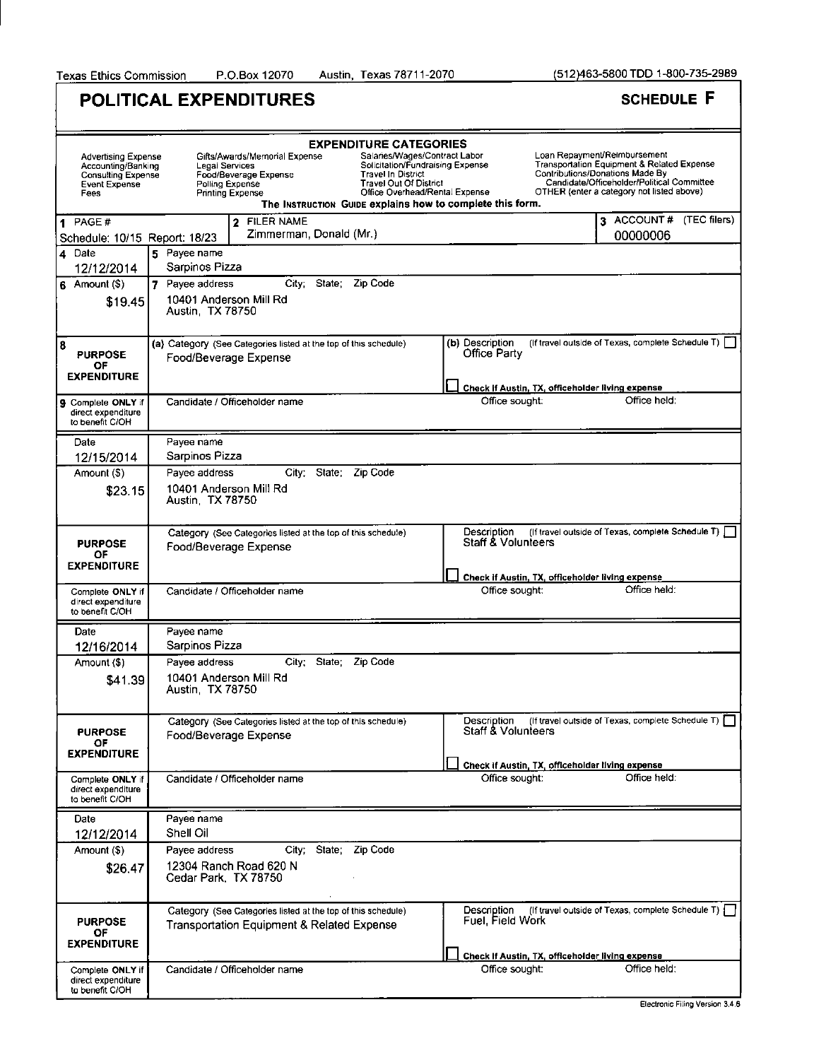Texas Ethics Commission P.O.Box 12070 Austin, Texas 78711-2070 (512)463-5800 TDD 1-800-735-2989

٦

 $\overline{a}$ 

|                                                                                                        | <b>POLITICAL EXPENDITURES</b>                                                                                                                                                                                                                                                                                                                                                             |                                                                    | <b>SCHEDULE F</b>                                                                                                                                                                                        |
|--------------------------------------------------------------------------------------------------------|-------------------------------------------------------------------------------------------------------------------------------------------------------------------------------------------------------------------------------------------------------------------------------------------------------------------------------------------------------------------------------------------|--------------------------------------------------------------------|----------------------------------------------------------------------------------------------------------------------------------------------------------------------------------------------------------|
| Advertising Expense<br>Accounting/Banking<br><b>Consulting Expense</b><br><b>Event Expense</b><br>Fees | <b>EXPENDITURE CATEGORIES</b><br>Salaries/Wages/Contract Labor<br>Gifts/Awards/Memorial Expense<br>Solicitation/Fundraising Expense<br>Legal Services<br><b>Travel In District</b><br>Food/Beverage Expense<br><b>Travel Out Of District</b><br>Polling Expense<br>Office Overhead/Rental Expense<br><b>Printing Expense</b><br>The INSTRUCTION GUIDE explains how to complete this form. |                                                                    | Loan Repayment/Reimbursement<br>Transportation Equipment & Related Expense<br>Contributions/Donations Made By<br>Candidate/Officeholder/Political Committee<br>OTHER (enter a category not listed above) |
| PAGE#<br>Schedule: 10/15 Report: 18/23                                                                 | 2 FILER NAME<br>Zimmerman, Donald (Mr.)                                                                                                                                                                                                                                                                                                                                                   |                                                                    | 3 ACCOUNT # (TEC filers)<br>00000006                                                                                                                                                                     |
| 4 Date                                                                                                 | 5 Pavee name<br>Sarpinos Pizza                                                                                                                                                                                                                                                                                                                                                            |                                                                    |                                                                                                                                                                                                          |
| 12/12/2014<br>$6$ Amount $(\$)$<br>\$19.45                                                             | State: Zip Code<br>7 Pavee address<br>City.<br>10401 Anderson Mill Rd<br>Austin, TX 78750                                                                                                                                                                                                                                                                                                 |                                                                    |                                                                                                                                                                                                          |
| 8<br><b>PURPOSE</b><br>ОF<br><b>EXPENDITURE</b>                                                        | (a) Category (See Categories listed at the top of this schedule)<br>Food/Beverage Expense                                                                                                                                                                                                                                                                                                 | (b) Description<br>Office Party                                    | (If travel outside of Texas, complete Schedule T) [                                                                                                                                                      |
|                                                                                                        |                                                                                                                                                                                                                                                                                                                                                                                           | Check if Austin, TX, officeholder living expense                   | Office held:                                                                                                                                                                                             |
| Complete ONLY if<br>9<br>direct expenditure<br>to benefit C/OH                                         | Candidate / Officeholder name                                                                                                                                                                                                                                                                                                                                                             | Office sought:                                                     |                                                                                                                                                                                                          |
| Date                                                                                                   | Payee name                                                                                                                                                                                                                                                                                                                                                                                |                                                                    |                                                                                                                                                                                                          |
| 12/15/2014<br>Amount (\$)                                                                              | Sarpinos Pizza<br>City:<br>State: Zip Code<br>Payee address                                                                                                                                                                                                                                                                                                                               |                                                                    |                                                                                                                                                                                                          |
| \$23.15                                                                                                | 10401 Anderson Mill Rd<br>Austin, TX 78750                                                                                                                                                                                                                                                                                                                                                |                                                                    |                                                                                                                                                                                                          |
| <b>PURPOSE</b><br>ОF<br><b>EXPENDITURE</b>                                                             | Category (See Categories listed at the top of this schedule)<br>Food/Beverage Expense                                                                                                                                                                                                                                                                                                     | Description<br><b>Staff &amp; Volunteers</b>                       | (If travel outside of Texas, complete Schedule T)                                                                                                                                                        |
| Complete ONLY if<br>direct expenditure<br>to benefit C/OH                                              | Candidate / Officeholder name                                                                                                                                                                                                                                                                                                                                                             | Check if Austin, TX, officeholder living expense<br>Office sought: | Office held:                                                                                                                                                                                             |
| Date                                                                                                   | Payee name                                                                                                                                                                                                                                                                                                                                                                                |                                                                    |                                                                                                                                                                                                          |
| 12/16/2014                                                                                             | Sarpinos Pizza                                                                                                                                                                                                                                                                                                                                                                            |                                                                    |                                                                                                                                                                                                          |
| Amount (\$)<br>\$41.39                                                                                 | City; State; Zip Code<br>Pavee address<br>10401 Anderson Mill Rd<br>Austin, TX 78750                                                                                                                                                                                                                                                                                                      |                                                                    |                                                                                                                                                                                                          |
| <b>PURPOSE</b><br>OF<br><b>EXPENDITURE</b>                                                             | Category (See Categories listed at the top of this schedule)<br>Food/Beverage Expense                                                                                                                                                                                                                                                                                                     | Description<br><b>Staff &amp; Volunteers</b>                       | (If travel outside of Texas, complete Schedule T)                                                                                                                                                        |
| Complete ONLY if<br>direct expenditure<br>to benefit C/OH                                              | Candidate / Officeholder name                                                                                                                                                                                                                                                                                                                                                             | Check if Austin, TX, officeholder living expense<br>Office sought: | Office held:                                                                                                                                                                                             |
| Date<br>12/12/2014                                                                                     | Payee name<br>Shell Oil                                                                                                                                                                                                                                                                                                                                                                   |                                                                    |                                                                                                                                                                                                          |
| Amount (\$)                                                                                            | City; State; Zip Code<br>Payee address                                                                                                                                                                                                                                                                                                                                                    |                                                                    |                                                                                                                                                                                                          |
| \$26.47                                                                                                | 12304 Ranch Road 620 N<br>Cedar Park, TX 78750                                                                                                                                                                                                                                                                                                                                            |                                                                    |                                                                                                                                                                                                          |
| <b>PURPOSE</b><br>OF<br><b>EXPENDITURE</b>                                                             | Category (See Categories listed at the top of this schedule)<br><b>Transportation Equipment &amp; Related Expense</b>                                                                                                                                                                                                                                                                     | Description<br>Fuel, Field Work                                    | (If travel outside of Texas, complete Schedule T) [                                                                                                                                                      |
| Complete ONLY if<br>direct expenditure<br>to benefit C/OH                                              | Candidate / Officeholder name                                                                                                                                                                                                                                                                                                                                                             | Check If Austin, TX, officeholder living expense<br>Office sought: | Office held:                                                                                                                                                                                             |
|                                                                                                        |                                                                                                                                                                                                                                                                                                                                                                                           |                                                                    |                                                                                                                                                                                                          |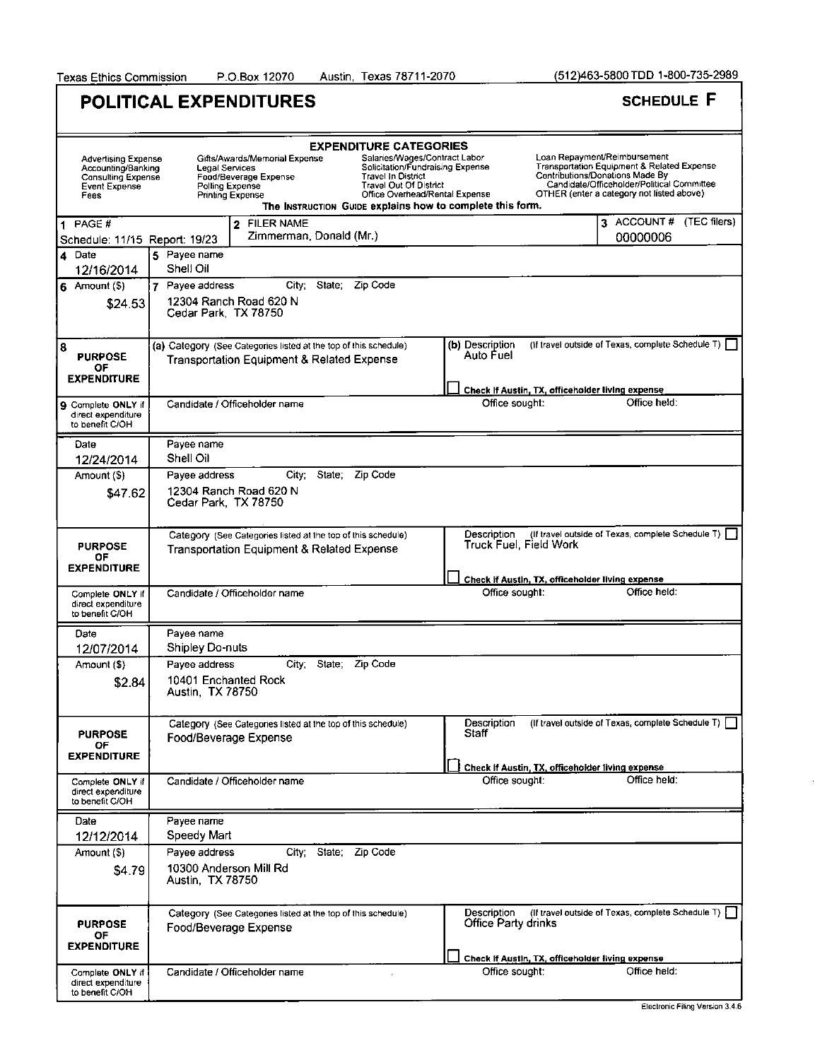|                                                                                                        | <b>POLITICAL EXPENDITURES</b>                                                                                                                                                                                                                                                             |                                                                                                     | <b>SCHEDULE F</b>                                                                                                                                                                                        |
|--------------------------------------------------------------------------------------------------------|-------------------------------------------------------------------------------------------------------------------------------------------------------------------------------------------------------------------------------------------------------------------------------------------|-----------------------------------------------------------------------------------------------------|----------------------------------------------------------------------------------------------------------------------------------------------------------------------------------------------------------|
| <b>Advertising Expense</b><br>Accounting/Banking<br><b>Consulting Expense</b><br>Event Expense<br>Fees | <b>EXPENDITURE CATEGORIES</b><br>Gifts/Awards/Memorial Expense<br><b>Legal Services</b><br>Food/Beverage Expense<br><b>Travel In District</b><br><b>Travel Out Of District</b><br>Polling Expense<br><b>Printing Expense</b><br>The INSTRUCTION GUIDE explains how to complete this form. | Salaries/Wages/Contract Labor<br>Solicitation/Fundraising Expense<br>Office Overhead/Rental Expense | Loan Repayment/Reimbursement<br>Transportation Equipment & Related Expense<br>Contributions/Donations Made By<br>Candidate/Officeholder/Political Committee<br>OTHER (enter a category not listed above) |
| PAGE #<br>$\blacktriangleleft$<br>Schedule: 11/15 Report: 19/23                                        | <b>FILER NAME</b><br>$\mathbf{z}$<br>Zimmerman, Donald (Mr.)                                                                                                                                                                                                                              |                                                                                                     | 3 ACCOUNT # (TEC filers)<br>00000006                                                                                                                                                                     |
| 4 Date<br>12/16/2014                                                                                   | 5 Payee name<br>Shell Oil                                                                                                                                                                                                                                                                 |                                                                                                     |                                                                                                                                                                                                          |
| $6$ Amount $(5)$<br>\$24.53                                                                            | City: State,<br>Zip Code<br>7 Payee address<br>12304 Ranch Road 620 N<br>Cedar Park, TX 78750                                                                                                                                                                                             |                                                                                                     |                                                                                                                                                                                                          |
| 8<br><b>PURPOSE</b><br>ΟF<br><b>EXPENDITURE</b>                                                        | (a) Category (See Categories listed at the top of this schedule)<br><b>Transportation Equipment &amp; Related Expense</b>                                                                                                                                                                 | (b) Description<br>Auto Fuel                                                                        | (if travel outside of Texas, complete Schedule T)                                                                                                                                                        |
| <b>9</b> Complete ONLY if<br>direct expenditure<br>to benefit C/OH                                     | Candidate / Officeholder name                                                                                                                                                                                                                                                             | Check If Austin, TX, officeholder living expense<br>Office sought:                                  | Office held:                                                                                                                                                                                             |
| Date                                                                                                   | Payee name                                                                                                                                                                                                                                                                                |                                                                                                     |                                                                                                                                                                                                          |
| 12/24/2014<br>Amount (\$)                                                                              | Shell Oil<br>State: Zip Code<br>City:<br>Payee address                                                                                                                                                                                                                                    |                                                                                                     |                                                                                                                                                                                                          |
| \$47.62                                                                                                | 12304 Ranch Road 620 N<br>Cedar Park, TX 78750                                                                                                                                                                                                                                            |                                                                                                     |                                                                                                                                                                                                          |
| <b>PURPOSE</b><br>ΟF<br><b>EXPENDITURE</b>                                                             | Category (See Categories listed at the top of this schedule)<br>Transportation Equipment & Related Expense                                                                                                                                                                                | Description<br>Truck Fuel, Field Work<br>Check if Austin, TX, officeholder living expense           | (If travel outside of Texas, complete Schedule T)                                                                                                                                                        |
| Complete ONLY if<br>direct expenditure<br>to benefit C/OH                                              | Candidate / Officeholder name                                                                                                                                                                                                                                                             | Office sought:                                                                                      | Office held:                                                                                                                                                                                             |
| Date<br>12/07/2014                                                                                     | Payee name<br>Shipley Do-nuts                                                                                                                                                                                                                                                             |                                                                                                     |                                                                                                                                                                                                          |
| Amount (\$)<br>\$2.84                                                                                  | State; Zip Code<br>Payee address<br>City.<br>10401 Enchanted Rock<br>Austin, TX 78750                                                                                                                                                                                                     |                                                                                                     |                                                                                                                                                                                                          |
| <b>PURPOSE</b><br>OF<br><b>EXPENDITURE</b>                                                             | Category (See Categories listed at the top of this schedule)<br>Food/Beverage Expense                                                                                                                                                                                                     | Description<br>Staff                                                                                | (If travel outside of Texas, complete Schedule T)                                                                                                                                                        |
| Complete ONLY if<br>direct expenditure<br>to benefit C/OH                                              | Candidate / Officeholder name                                                                                                                                                                                                                                                             | Check if Austin, TX, officeholder living expense<br>Office sought:                                  | Office held:                                                                                                                                                                                             |
| Date<br>12/12/2014                                                                                     | Payee name<br>Speedy Mart                                                                                                                                                                                                                                                                 |                                                                                                     |                                                                                                                                                                                                          |
| Amount (\$)<br>\$4.79                                                                                  | City; State; Zip Code<br>Payee address<br>10300 Anderson Mill Rd<br>Austin, TX 78750                                                                                                                                                                                                      |                                                                                                     |                                                                                                                                                                                                          |
| <b>PURPOSE</b><br>OF<br><b>EXPENDITURE</b>                                                             | Category (See Categories listed at the top of this schedule)<br>Food/Beverage Expense                                                                                                                                                                                                     | Description<br>Office Party drinks<br>Check if Austin, TX, officeholder living expense              | (If travel outside of Texas, complete Schedule T)                                                                                                                                                        |
| Complete ONLY if<br>direct expenditure<br>to benefit C/OH                                              | Candidate / Officeholder name                                                                                                                                                                                                                                                             | Office sought:                                                                                      | Office held:<br>Cleatranic Filips Version 3 4 6                                                                                                                                                          |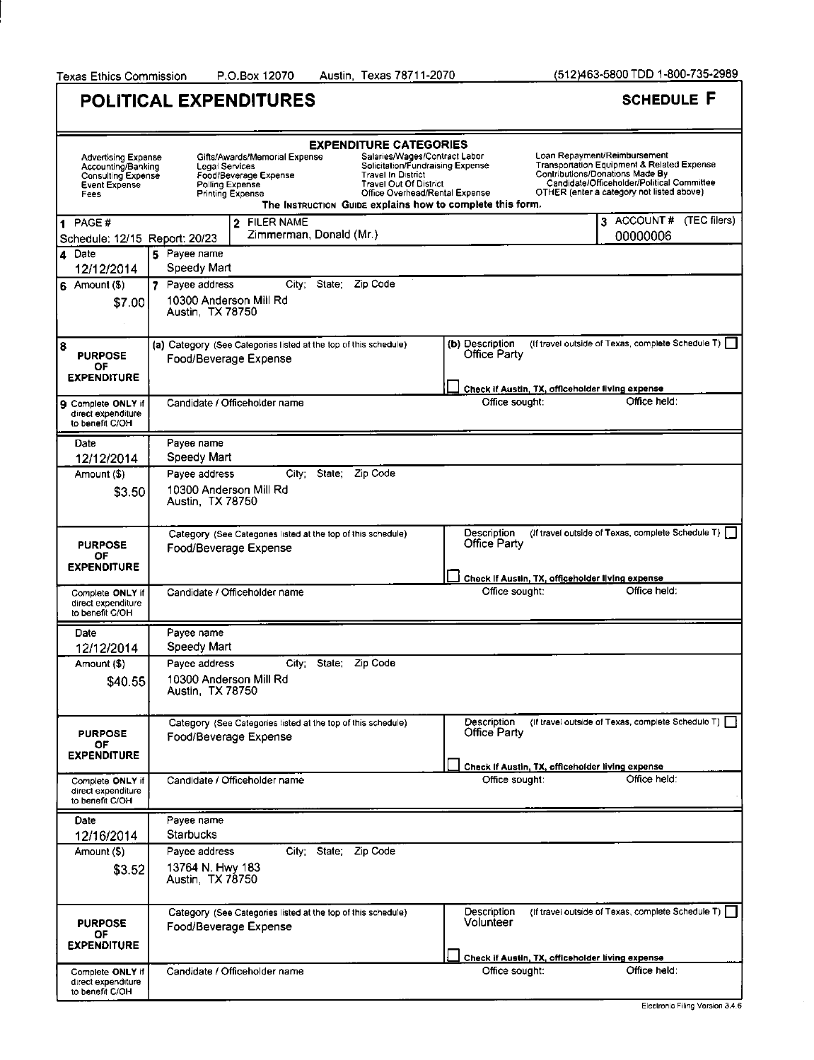|                                                                                                        | POLITICAL EXPENDITURES                                                                                                                                                                                                                                                                                                                                                                    | <b>SCHEDULE F</b>                                                                                                                                                                                        |
|--------------------------------------------------------------------------------------------------------|-------------------------------------------------------------------------------------------------------------------------------------------------------------------------------------------------------------------------------------------------------------------------------------------------------------------------------------------------------------------------------------------|----------------------------------------------------------------------------------------------------------------------------------------------------------------------------------------------------------|
| <b>Advertising Expense</b><br>Accounting/Banking<br>Consulting Expense<br><b>Event Expense</b><br>Fees | <b>EXPENDITURE CATEGORIES</b><br>Salaries/Wages/Contract Labor<br>Gifts/Awards/Memorial Expense<br>Solicitation/Fundraising Expense<br>Legal Services<br><b>Travel In District</b><br>Food/Beverage Expense<br><b>Travel Out Of District</b><br>Polling Expense<br>Office Overhead/Rental Expense<br><b>Printing Expense</b><br>The Instruction Guipe explains how to complete this form. | Loan Repayment/Reimbursement<br>Transportation Equipment & Related Expense<br>Contributions/Donations Made By<br>Candidate/Officeholder/Political Committee<br>OTHER (enter a category not listed above) |
| PAGE#<br>Schedule: 12/15 Report: 20/23                                                                 | 2 FILER NAME<br>Zimmerman, Donald (Mr.)                                                                                                                                                                                                                                                                                                                                                   | 3 ACCOUNT # (TEC filers)<br>00000006                                                                                                                                                                     |
| 4 Date                                                                                                 | 5 Payee name                                                                                                                                                                                                                                                                                                                                                                              |                                                                                                                                                                                                          |
| 12/12/2014<br>$6$ Amount $(9)$<br>\$7.00                                                               | Speedy Mart<br>City; State: Zip Code<br>7 Pavee address<br>10300 Anderson Mill Rd<br>Austin, TX 78750                                                                                                                                                                                                                                                                                     |                                                                                                                                                                                                          |
| 8<br><b>PURPOSE</b><br>ΟF<br><b>EXPENDITURE</b>                                                        | (a) Category (See Categories listed at the top of this schedule)<br>Food/Beverage Expense                                                                                                                                                                                                                                                                                                 | (If travel outside of Texas, complete Schedule T)  <br>(b) Description<br>Office Party                                                                                                                   |
|                                                                                                        |                                                                                                                                                                                                                                                                                                                                                                                           | Check if Austin, TX, officeholder living expense                                                                                                                                                         |
| <b>9 Complete ONLY if</b><br>direct expenditure<br>to benefit C/OH                                     | Candidate / Officeholder name                                                                                                                                                                                                                                                                                                                                                             | Office held:<br>Office sought:                                                                                                                                                                           |
| Date                                                                                                   | Payee name                                                                                                                                                                                                                                                                                                                                                                                |                                                                                                                                                                                                          |
| 12/12/2014                                                                                             | Speedy Mart                                                                                                                                                                                                                                                                                                                                                                               |                                                                                                                                                                                                          |
| Amount (\$)<br>\$3.50                                                                                  | State; Zip Code<br>City:<br>Payee address<br>10300 Anderson Mill Rd<br>Austin, TX 78750                                                                                                                                                                                                                                                                                                   |                                                                                                                                                                                                          |
| <b>PURPOSE</b><br>ОF<br><b>EXPENDITURE</b>                                                             | Category (See Categories listed at the top of this schedule)<br>Food/Beverage Expense                                                                                                                                                                                                                                                                                                     | Description<br>(If travel outside of Texas, complete Schedule T)  <br>Office Party                                                                                                                       |
|                                                                                                        |                                                                                                                                                                                                                                                                                                                                                                                           | Check If Austin, TX, officeholder living expense                                                                                                                                                         |
| Complete ONLY if<br>direct expenditure<br>to benefit C/OH                                              | Candidate / Officeholder name                                                                                                                                                                                                                                                                                                                                                             | Office held:<br>Office sought:                                                                                                                                                                           |
| Date<br>12/12/2014                                                                                     | Payee name<br>Speedy Mart                                                                                                                                                                                                                                                                                                                                                                 |                                                                                                                                                                                                          |
| Amount (\$)                                                                                            | State; Zip Code<br>City:<br>Payee address                                                                                                                                                                                                                                                                                                                                                 |                                                                                                                                                                                                          |
| \$40.55                                                                                                | 10300 Anderson Mill Rd<br>Austin, TX 78750                                                                                                                                                                                                                                                                                                                                                |                                                                                                                                                                                                          |
| <b>PURPOSE</b><br>٥F<br><b>EXPENDITURE</b>                                                             | Category (See Categories listed at the top of this schedule)<br>Food/Beverage Expense                                                                                                                                                                                                                                                                                                     | (If travel outside of Texas, complete Schedule T)  <br>Description<br>Office Party                                                                                                                       |
|                                                                                                        |                                                                                                                                                                                                                                                                                                                                                                                           | Check if Austin, TX, officeholder living expense                                                                                                                                                         |
| Complete ONLY if<br>direct expenditure<br>to benefit C/OH                                              | Candidate / Officeholder name                                                                                                                                                                                                                                                                                                                                                             | Office held:<br>Office sought:                                                                                                                                                                           |
| Date<br>12/16/2014                                                                                     | Payee name<br>Starbucks                                                                                                                                                                                                                                                                                                                                                                   |                                                                                                                                                                                                          |
| Amount (\$)                                                                                            | City: State; Zip Code<br>Pavee address                                                                                                                                                                                                                                                                                                                                                    |                                                                                                                                                                                                          |
| \$3.52                                                                                                 | 13764 N. Hwy 183<br>Austin, TX 78750                                                                                                                                                                                                                                                                                                                                                      |                                                                                                                                                                                                          |
| <b>PURPOSE</b><br>ΟF<br><b>EXPENDITURE</b>                                                             | Category (See Categories listed at the top of this schedule)<br>Food/Beverage Expense                                                                                                                                                                                                                                                                                                     | (If travel outside of Texas, complete Schedule T)  <br>Description<br>Volunteer                                                                                                                          |
|                                                                                                        |                                                                                                                                                                                                                                                                                                                                                                                           | Check if Austin, TX, officeholder living expense<br>Office held:                                                                                                                                         |
| Complete ONLY if<br>direct expenditure<br>to benefit C/OH                                              | Candidate / Officeholder name                                                                                                                                                                                                                                                                                                                                                             | Office sought:<br>Electronic Eiling Version 3.4 6                                                                                                                                                        |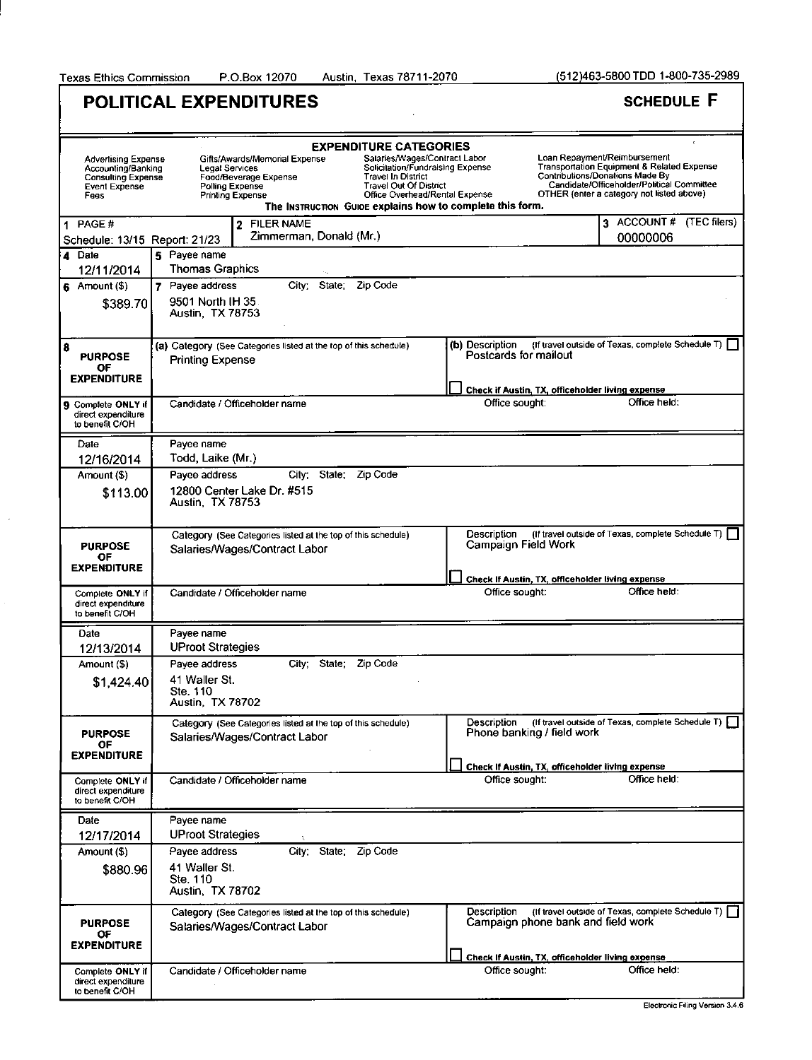$\bar{z}$ 

Texas Ethics Commission P.O.Box 12070 Austin, Texas 78711-2070 (512)463-5800 TDD 1-800-735-2989

|                                                                                                 | POLITICAL EXPENDITURES                                                                                                                                                                                                                                                                                                                                                                           |                                                                                                       | <b>SCHEDULE F</b>                                                                                                                                                                                        |
|-------------------------------------------------------------------------------------------------|--------------------------------------------------------------------------------------------------------------------------------------------------------------------------------------------------------------------------------------------------------------------------------------------------------------------------------------------------------------------------------------------------|-------------------------------------------------------------------------------------------------------|----------------------------------------------------------------------------------------------------------------------------------------------------------------------------------------------------------|
| Advertising Expense<br>Accounting/Banking<br><b>Consulting Expense</b><br>Event Expense<br>Fees | <b>EXPENDITURE CATEGORIES</b><br>Salaries/Wages/Contract Labor<br>Gifts/Awards/Memorial Expense<br>Solicitation/Fundraising Expense<br><b>Legal Services</b><br><b>Travel In District</b><br>Food/Beverage Expense<br><b>Travel Out Of District</b><br>Polling Expense<br>Office Overhead/Rental Expense<br><b>Printing Expense</b><br>The Instruction Guide explains how to complete this form. |                                                                                                       | Loan Repayment/Reimbursement<br>Transportation Equipment & Related Expense<br>Contributions/Donations Made By<br>Candidate/Officeholder/Political Committee<br>OTHER (enter a category not listed above) |
| 1 PAGE#<br>Schedule: 13/15 Report: 21/23                                                        | 2 FILER NAME<br>Zimmerman, Donald (Mr.)                                                                                                                                                                                                                                                                                                                                                          |                                                                                                       | 3 ACCOUNT # (TEC filers)<br>00000006                                                                                                                                                                     |
| 4 Date                                                                                          | 5 Payee name<br><b>Thomas Graphics</b>                                                                                                                                                                                                                                                                                                                                                           |                                                                                                       |                                                                                                                                                                                                          |
| 12/11/2014<br>$6$ Amount $(9)$<br>\$389.70                                                      | State: Zip Code<br>7 Payee address<br>City <sup>-</sup><br>9501 North IH 35<br>Austin, TX 78753                                                                                                                                                                                                                                                                                                  |                                                                                                       |                                                                                                                                                                                                          |
| 8<br><b>PURPOSE</b><br>ΟF<br><b>EXPENDITURE</b>                                                 | (a) Category (See Categories listed at the top of this schedule)<br><b>Printing Expense</b>                                                                                                                                                                                                                                                                                                      | (b) Description<br>Postcards for mailout                                                              | (If travel outside of Texas, complete Schedule T)                                                                                                                                                        |
|                                                                                                 |                                                                                                                                                                                                                                                                                                                                                                                                  | Check if Austin, TX, officeholder living expense                                                      |                                                                                                                                                                                                          |
| <b>9</b> Complete ONLY if<br>direct expenditure<br>to benefit C/OH                              | Candidate / Officeholder name                                                                                                                                                                                                                                                                                                                                                                    | Office sought:                                                                                        | Office held:                                                                                                                                                                                             |
| Date                                                                                            | Payee name                                                                                                                                                                                                                                                                                                                                                                                       |                                                                                                       |                                                                                                                                                                                                          |
| 12/16/2014                                                                                      | Todd, Laike (Mr.)<br>Zip Code                                                                                                                                                                                                                                                                                                                                                                    |                                                                                                       |                                                                                                                                                                                                          |
| Amount (\$)<br>\$113.00                                                                         | City:<br>State.<br>Payee address<br>12800 Center Lake Dr. #515<br>Austin, TX 78753                                                                                                                                                                                                                                                                                                               |                                                                                                       |                                                                                                                                                                                                          |
| <b>PURPOSE</b><br>ОF<br><b>EXPENDITURE</b>                                                      | Category (See Categories listed at the top of this schedule)<br>Salaries/Wages/Contract Labor                                                                                                                                                                                                                                                                                                    | Description<br>Campaign Field Work                                                                    | (If travel outside of Texas, complete Schedule T)                                                                                                                                                        |
| Complete ONLY if<br>direct expenditure<br>to benefit C/OH                                       | Candidate / Officeholder name                                                                                                                                                                                                                                                                                                                                                                    | Check If Austin, TX, officeholder living expense<br>Office sought:                                    | Office held:                                                                                                                                                                                             |
| Date<br>12/13/2014                                                                              | Payee name<br><b>UProot Strategies</b>                                                                                                                                                                                                                                                                                                                                                           |                                                                                                       |                                                                                                                                                                                                          |
| Amount (\$)<br>\$1,424.40                                                                       | Zip Code<br>City.<br>State<br>Payee address<br>41 Waller St.<br>Ste. 110<br><b>Austin, TX 78702</b>                                                                                                                                                                                                                                                                                              |                                                                                                       |                                                                                                                                                                                                          |
| <b>PURPOSE</b><br>ОF<br><b>EXPENDITURE</b>                                                      | Category (See Categories listed at the top of this schedule)<br>Salaries/Wages/Contract Labor                                                                                                                                                                                                                                                                                                    | Description<br>Phone banking / field work                                                             | (If travel outside of Texas, complete Schedule T) [                                                                                                                                                      |
| Complete ONLY if<br>direct expenditure<br>to benefit C/OH                                       | Candidate / Officeholder name                                                                                                                                                                                                                                                                                                                                                                    | Check If Austin, TX, officeholder living expense<br>Office sought:                                    | Office held:                                                                                                                                                                                             |
| Date<br>12/17/2014                                                                              | Payee name<br><b>UProot Strategies</b>                                                                                                                                                                                                                                                                                                                                                           |                                                                                                       |                                                                                                                                                                                                          |
| Amount (\$)<br>\$880.96                                                                         | City: State: Zip Code<br>Pavee address<br>41 Waller St.<br>Ste. 110<br>Austin, TX 78702                                                                                                                                                                                                                                                                                                          |                                                                                                       |                                                                                                                                                                                                          |
| <b>PURPOSE</b><br>O۴<br>EXPENDITURE                                                             | Category (See Categories listed at the top of this schedule)<br>Salaries/Wages/Contract Labor                                                                                                                                                                                                                                                                                                    | Description<br>Campaign phone bank and field work<br>Check If Austin, TX, officeholder living expense | (If travel outside of Texas, complete Schedule T)                                                                                                                                                        |
| Complete ONLY if<br>direct expenditure<br>to benefit C/OH                                       | Candidate / Officeholder name                                                                                                                                                                                                                                                                                                                                                                    | Office sought:                                                                                        | Office held:<br>Electronic Filing Version 3.4.6                                                                                                                                                          |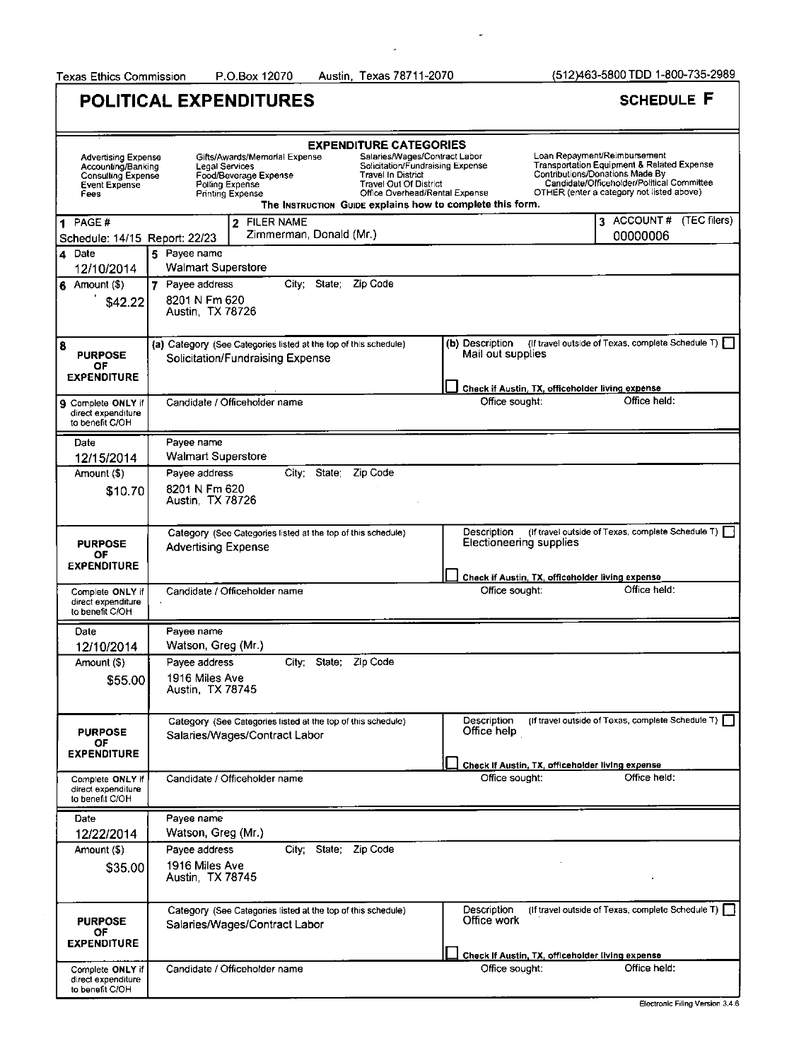Austin, Texas 78711-2070

 $\overline{a}$ 

|                                                                                                               | <b>POLITICAL EXPENDITURES</b>                                                                                                                                                                                                                                                                                                                                                             |                                                                                            | <b>SCHEDULE F</b>                                                                                                                                                                                        |
|---------------------------------------------------------------------------------------------------------------|-------------------------------------------------------------------------------------------------------------------------------------------------------------------------------------------------------------------------------------------------------------------------------------------------------------------------------------------------------------------------------------------|--------------------------------------------------------------------------------------------|----------------------------------------------------------------------------------------------------------------------------------------------------------------------------------------------------------|
| <b>Advertising Expense</b><br>Accounting/Banking<br><b>Consulting Expense</b><br><b>Event Expense</b><br>Fees | <b>EXPENDITURE CATEGORIES</b><br>Salaries/Wages/Contract Labor<br>Gifts/Awards/Memorial Expense<br>Solicitation/Fundraising Expense<br>Legal Services<br>Food/Beverage Expense<br><b>Travel In District</b><br>Polling Expense<br><b>Travel Out Of District</b><br>Office Overhead/Rental Expense<br><b>Printing Expense</b><br>The INSTRUCTION GUIDE explains how to complete this form. |                                                                                            | Loan Repayment/Reimbursement<br>Transportation Equipment & Related Expense<br>Contributions/Donations Made By<br>Candidate/Officeholder/Political Committee<br>OTHER (enter a category not listed above) |
| 1 PAGE#<br>Schedule: 14/15 Report: 22/23                                                                      | <b>FILER NAME</b><br>$\mathbf{2}$<br>Zimmerman, Donald (Mr.)                                                                                                                                                                                                                                                                                                                              |                                                                                            | 3 ACCOUNT # (TEC filers)<br>00000006                                                                                                                                                                     |
| 4 Date<br>12/10/2014                                                                                          | 5 Payee name<br><b>Walmart Superstore</b>                                                                                                                                                                                                                                                                                                                                                 |                                                                                            |                                                                                                                                                                                                          |
| $6$ Amount $($ \$)<br>\$42.22                                                                                 | City: State:<br>Zip Code<br>7 Payee address<br>8201 N Fm 620<br>Austin, TX 78726                                                                                                                                                                                                                                                                                                          |                                                                                            |                                                                                                                                                                                                          |
| 8<br><b>PURPOSE</b><br>OF<br><b>EXPENDITURE</b>                                                               | (a) Category (See Categories listed at the top of this schedule)<br>Solicitation/Fundraising Expense                                                                                                                                                                                                                                                                                      | <b>(b)</b> Description<br>Mail out supplies                                                | (If travel outside of Texas, complete Schedule T)                                                                                                                                                        |
| Complete ONLY if<br>9<br>direct expenditure<br>to benefit C/OH                                                | Candidate / Officeholder name                                                                                                                                                                                                                                                                                                                                                             | Check if Austin, TX, officeholder living expense<br>Office sought:                         | Office held:                                                                                                                                                                                             |
| Date<br>12/15/2014                                                                                            | Payee name<br><b>Walmart Superstore</b>                                                                                                                                                                                                                                                                                                                                                   |                                                                                            |                                                                                                                                                                                                          |
| Amount (\$)                                                                                                   | City; State; Zip Code<br>Payee address                                                                                                                                                                                                                                                                                                                                                    |                                                                                            |                                                                                                                                                                                                          |
| \$10.70                                                                                                       | 8201 N Fm 620<br>Austin, TX 78726                                                                                                                                                                                                                                                                                                                                                         |                                                                                            |                                                                                                                                                                                                          |
| <b>PURPOSE</b><br>ОF<br><b>EXPENDITURE</b>                                                                    | Category (See Categories listed at the top of this schedule)<br>Advertising Expense                                                                                                                                                                                                                                                                                                       | Description<br>Electioneering supplies<br>Check if Austin, TX, officeholder living expense | (If travel outside of Texas, complete Schedule T)                                                                                                                                                        |
| Complete ONLY if<br>direct expenditure<br>to benefit C/OH                                                     | Candidate / Officeholder name                                                                                                                                                                                                                                                                                                                                                             | Office sought:                                                                             | Office held:                                                                                                                                                                                             |
| Date<br>12/10/2014                                                                                            | Payee name<br>Watson, Greg (Mr.)                                                                                                                                                                                                                                                                                                                                                          |                                                                                            |                                                                                                                                                                                                          |
| Amount (\$)                                                                                                   | City State;<br>Zip Code<br>Payee address                                                                                                                                                                                                                                                                                                                                                  |                                                                                            |                                                                                                                                                                                                          |
| \$55.00                                                                                                       | 1916 Miles Ave<br>Austin, TX 78745                                                                                                                                                                                                                                                                                                                                                        |                                                                                            |                                                                                                                                                                                                          |
| <b>PURPOSE</b><br>ΟF<br><b>EXPENDITURE</b>                                                                    | Category (See Categories listed at the top of this schedule)<br>Salaries/Wages/Contract Labor                                                                                                                                                                                                                                                                                             | Description<br>Office help<br>Check If Austin, TX, officeholder living expense             | (If travel outside of Texas, complete Schedule T)                                                                                                                                                        |
| Complete ONLY if<br>direct expenditure<br>to benefit C/OH                                                     | Candidate / Officeholder name                                                                                                                                                                                                                                                                                                                                                             | Office sought:                                                                             | Office held:                                                                                                                                                                                             |
| Date<br>12/22/2014                                                                                            | Payee name<br>Watson, Greg (Mr.)                                                                                                                                                                                                                                                                                                                                                          |                                                                                            |                                                                                                                                                                                                          |
| Amount (\$)<br>\$35.00                                                                                        | City; State; Zip Code<br>Pavee address<br>1916 Miles Ave<br>Austin, TX 78745                                                                                                                                                                                                                                                                                                              |                                                                                            |                                                                                                                                                                                                          |
| <b>PURPOSE</b><br>ОF<br><b>EXPENDITURE</b>                                                                    | Category (See Categories listed at the top of this schedule)<br>Salaries/Wages/Contract Labor                                                                                                                                                                                                                                                                                             | Description<br>Office work<br>Check if Austin, TX, officeholder living expense             | (If travel outside of Texas, complete Schedule T)                                                                                                                                                        |
| Complete ONLY if<br>direct expenditure<br>to benefit C/OH                                                     | Candidate / Officeholder name                                                                                                                                                                                                                                                                                                                                                             | Office sought:                                                                             | Office held:                                                                                                                                                                                             |